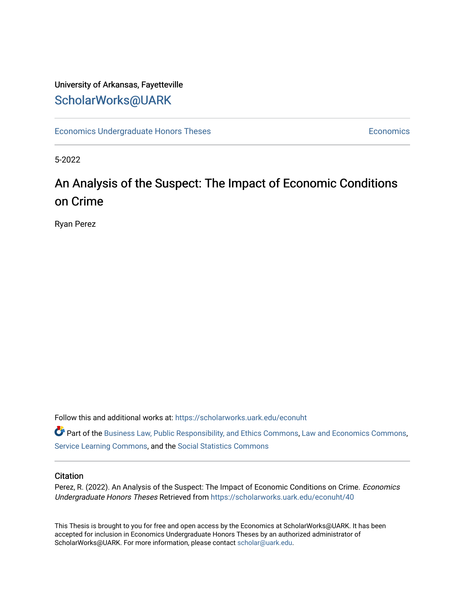# University of Arkansas, Fayetteville [ScholarWorks@UARK](https://scholarworks.uark.edu/)

[Economics Undergraduate Honors Theses](https://scholarworks.uark.edu/econuht) **Economics** Economics

5-2022

# An Analysis of the Suspect: The Impact of Economic Conditions on Crime

Ryan Perez

Follow this and additional works at: [https://scholarworks.uark.edu/econuht](https://scholarworks.uark.edu/econuht?utm_source=scholarworks.uark.edu%2Feconuht%2F40&utm_medium=PDF&utm_campaign=PDFCoverPages)

Part of the [Business Law, Public Responsibility, and Ethics Commons](http://network.bepress.com/hgg/discipline/628?utm_source=scholarworks.uark.edu%2Feconuht%2F40&utm_medium=PDF&utm_campaign=PDFCoverPages), [Law and Economics Commons](http://network.bepress.com/hgg/discipline/612?utm_source=scholarworks.uark.edu%2Feconuht%2F40&utm_medium=PDF&utm_campaign=PDFCoverPages), [Service Learning Commons](http://network.bepress.com/hgg/discipline/1024?utm_source=scholarworks.uark.edu%2Feconuht%2F40&utm_medium=PDF&utm_campaign=PDFCoverPages), and the [Social Statistics Commons](http://network.bepress.com/hgg/discipline/1275?utm_source=scholarworks.uark.edu%2Feconuht%2F40&utm_medium=PDF&utm_campaign=PDFCoverPages) 

#### **Citation**

Perez, R. (2022). An Analysis of the Suspect: The Impact of Economic Conditions on Crime. Economics Undergraduate Honors Theses Retrieved from [https://scholarworks.uark.edu/econuht/40](https://scholarworks.uark.edu/econuht/40?utm_source=scholarworks.uark.edu%2Feconuht%2F40&utm_medium=PDF&utm_campaign=PDFCoverPages)

This Thesis is brought to you for free and open access by the Economics at ScholarWorks@UARK. It has been accepted for inclusion in Economics Undergraduate Honors Theses by an authorized administrator of ScholarWorks@UARK. For more information, please contact [scholar@uark.edu](mailto:scholar@uark.edu).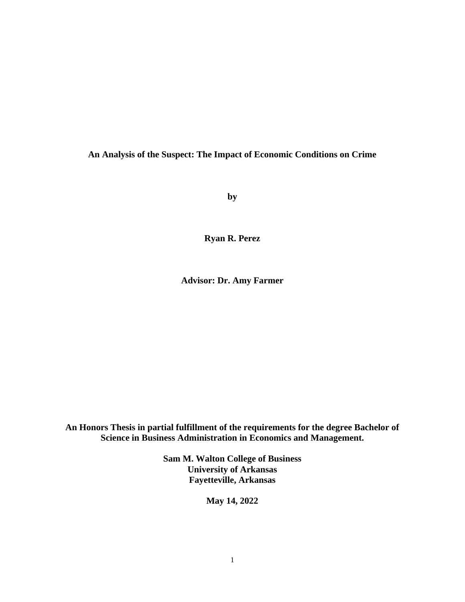**An Analysis of the Suspect: The Impact of Economic Conditions on Crime**

**by**

**Ryan R. Perez**

**Advisor: Dr. Amy Farmer**

**An Honors Thesis in partial fulfillment of the requirements for the degree Bachelor of Science in Business Administration in Economics and Management.**

> **Sam M. Walton College of Business University of Arkansas Fayetteville, Arkansas**

> > **May 14, 2022**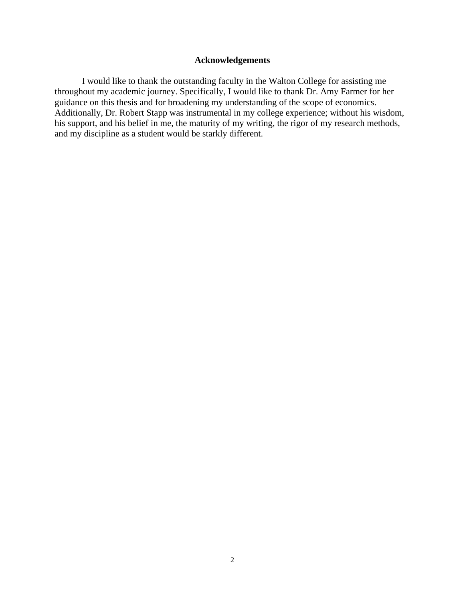# **Acknowledgements**

I would like to thank the outstanding faculty in the Walton College for assisting me throughout my academic journey. Specifically, I would like to thank Dr. Amy Farmer for her guidance on this thesis and for broadening my understanding of the scope of economics. Additionally, Dr. Robert Stapp was instrumental in my college experience; without his wisdom, his support, and his belief in me, the maturity of my writing, the rigor of my research methods, and my discipline as a student would be starkly different.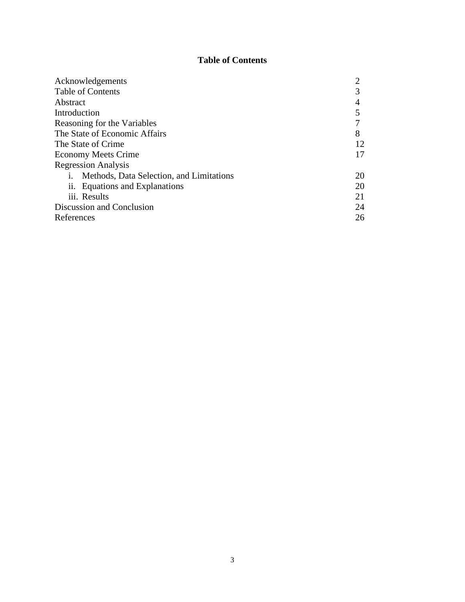# **Table of Contents**

| Acknowledgements                         |    |
|------------------------------------------|----|
| <b>Table of Contents</b>                 |    |
| Abstract                                 |    |
| Introduction                             |    |
| Reasoning for the Variables              |    |
| The State of Economic Affairs            | 8  |
| The State of Crime                       | 12 |
| <b>Economy Meets Crime</b>               | 17 |
| <b>Regression Analysis</b>               |    |
| Methods, Data Selection, and Limitations | 20 |
| ii. Equations and Explanations           | 20 |
| iii. Results                             | 21 |
| Discussion and Conclusion                | 24 |
| References                               | 26 |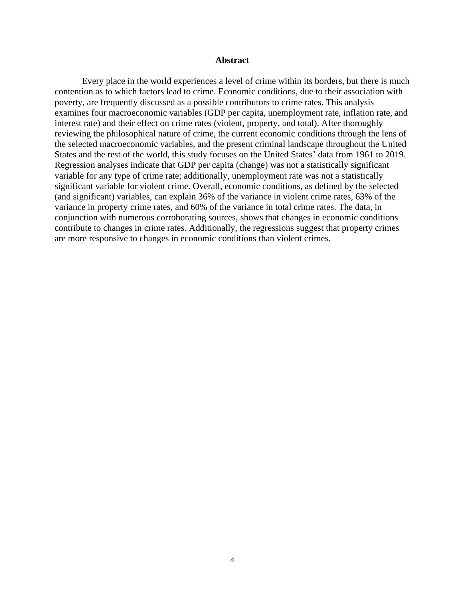## **Abstract**

Every place in the world experiences a level of crime within its borders, but there is much contention as to which factors lead to crime. Economic conditions, due to their association with poverty, are frequently discussed as a possible contributors to crime rates. This analysis examines four macroeconomic variables (GDP per capita, unemployment rate, inflation rate, and interest rate) and their effect on crime rates (violent, property, and total). After thoroughly reviewing the philosophical nature of crime, the current economic conditions through the lens of the selected macroeconomic variables, and the present criminal landscape throughout the United States and the rest of the world, this study focuses on the United States' data from 1961 to 2019. Regression analyses indicate that GDP per capita (change) was not a statistically significant variable for any type of crime rate; additionally, unemployment rate was not a statistically significant variable for violent crime. Overall, economic conditions, as defined by the selected (and significant) variables, can explain 36% of the variance in violent crime rates, 63% of the variance in property crime rates, and 60% of the variance in total crime rates. The data, in conjunction with numerous corroborating sources, shows that changes in economic conditions contribute to changes in crime rates. Additionally, the regressions suggest that property crimes are more responsive to changes in economic conditions than violent crimes.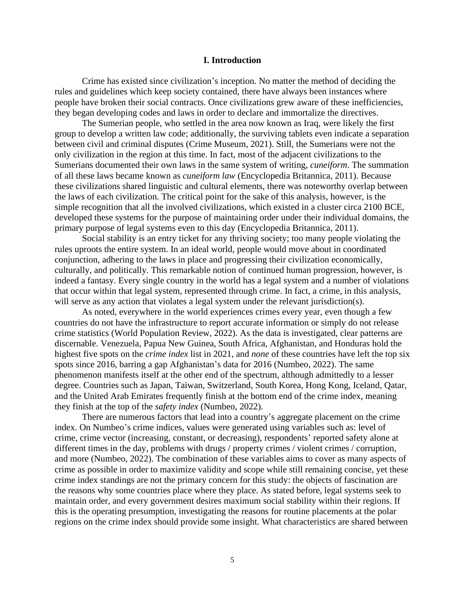#### **I. Introduction**

Crime has existed since civilization's inception. No matter the method of deciding the rules and guidelines which keep society contained, there have always been instances where people have broken their social contracts. Once civilizations grew aware of these inefficiencies, they began developing codes and laws in order to declare and immortalize the directives.

The Sumerian people, who settled in the area now known as Iraq, were likely the first group to develop a written law code; additionally, the surviving tablets even indicate a separation between civil and criminal disputes (Crime Museum, 2021). Still, the Sumerians were not the only civilization in the region at this time. In fact, most of the adjacent civilizations to the Sumerians documented their own laws in the same system of writing, *cuneiform*. The summation of all these laws became known as *cuneiform law* (Encyclopedia Britannica, 2011). Because these civilizations shared linguistic and cultural elements, there was noteworthy overlap between the laws of each civilization. The critical point for the sake of this analysis, however, is the simple recognition that all the involved civilizations, which existed in a cluster circa 2100 BCE, developed these systems for the purpose of maintaining order under their individual domains, the primary purpose of legal systems even to this day (Encyclopedia Britannica, 2011).

Social stability is an entry ticket for any thriving society; too many people violating the rules uproots the entire system. In an ideal world, people would move about in coordinated conjunction, adhering to the laws in place and progressing their civilization economically, culturally, and politically. This remarkable notion of continued human progression, however, is indeed a fantasy. Every single country in the world has a legal system and a number of violations that occur within that legal system, represented through crime. In fact, a crime, in this analysis, will serve as any action that violates a legal system under the relevant jurisdiction(s).

As noted, everywhere in the world experiences crimes every year, even though a few countries do not have the infrastructure to report accurate information or simply do not release crime statistics (World Population Review, 2022). As the data is investigated, clear patterns are discernable. Venezuela, Papua New Guinea, South Africa, Afghanistan, and Honduras hold the highest five spots on the *crime index* list in 2021, and *none* of these countries have left the top six spots since 2016, barring a gap Afghanistan's data for 2016 (Numbeo, 2022). The same phenomenon manifests itself at the other end of the spectrum, although admittedly to a lesser degree. Countries such as Japan, Taiwan, Switzerland, South Korea, Hong Kong, Iceland, Qatar, and the United Arab Emirates frequently finish at the bottom end of the crime index, meaning they finish at the top of the *safety index* (Numbeo, 2022).

There are numerous factors that lead into a country's aggregate placement on the crime index. On Numbeo's crime indices, values were generated using variables such as: level of crime, crime vector (increasing, constant, or decreasing), respondents' reported safety alone at different times in the day, problems with drugs / property crimes / violent crimes / corruption, and more (Numbeo, 2022). The combination of these variables aims to cover as many aspects of crime as possible in order to maximize validity and scope while still remaining concise, yet these crime index standings are not the primary concern for this study: the objects of fascination are the reasons why some countries place where they place. As stated before, legal systems seek to maintain order, and every government desires maximum social stability within their regions. If this is the operating presumption, investigating the reasons for routine placements at the polar regions on the crime index should provide some insight. What characteristics are shared between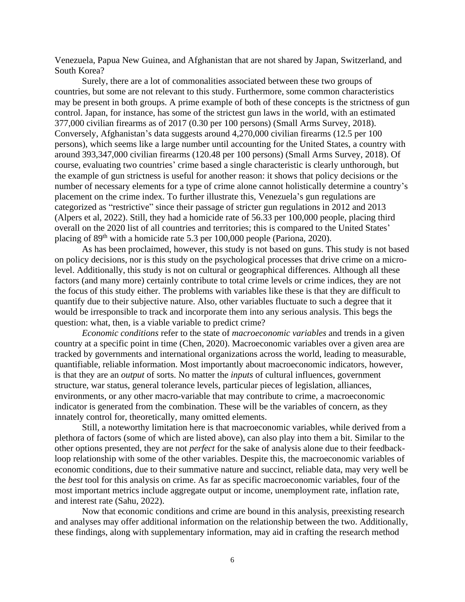Venezuela, Papua New Guinea, and Afghanistan that are not shared by Japan, Switzerland, and South Korea?

Surely, there are a lot of commonalities associated between these two groups of countries, but some are not relevant to this study. Furthermore, some common characteristics may be present in both groups. A prime example of both of these concepts is the strictness of gun control. Japan, for instance, has some of the strictest gun laws in the world, with an estimated 377,000 civilian firearms as of 2017 (0.30 per 100 persons) (Small Arms Survey, 2018). Conversely, Afghanistan's data suggests around 4,270,000 civilian firearms (12.5 per 100 persons), which seems like a large number until accounting for the United States, a country with around 393,347,000 civilian firearms (120.48 per 100 persons) (Small Arms Survey, 2018). Of course, evaluating two countries' crime based a single characteristic is clearly unthorough, but the example of gun strictness is useful for another reason: it shows that policy decisions or the number of necessary elements for a type of crime alone cannot holistically determine a country's placement on the crime index. To further illustrate this, Venezuela's gun regulations are categorized as "restrictive" since their passage of stricter gun regulations in 2012 and 2013 (Alpers et al, 2022). Still, they had a homicide rate of 56.33 per 100,000 people, placing third overall on the 2020 list of all countries and territories; this is compared to the United States' placing of 89<sup>th</sup> with a homicide rate 5.3 per 100,000 people (Pariona, 2020).

As has been proclaimed, however, this study is not based on guns. This study is not based on policy decisions, nor is this study on the psychological processes that drive crime on a microlevel. Additionally, this study is not on cultural or geographical differences. Although all these factors (and many more) certainly contribute to total crime levels or crime indices, they are not the focus of this study either. The problems with variables like these is that they are difficult to quantify due to their subjective nature. Also, other variables fluctuate to such a degree that it would be irresponsible to track and incorporate them into any serious analysis. This begs the question: what, then, is a viable variable to predict crime?

*Economic conditions* refer to the state of *macroeconomic variables* and trends in a given country at a specific point in time (Chen, 2020). Macroeconomic variables over a given area are tracked by governments and international organizations across the world, leading to measurable, quantifiable, reliable information. Most importantly about macroeconomic indicators, however, is that they are an *output* of sorts. No matter the *inputs* of cultural influences, government structure, war status, general tolerance levels, particular pieces of legislation, alliances, environments, or any other macro-variable that may contribute to crime, a macroeconomic indicator is generated from the combination. These will be the variables of concern, as they innately control for, theoretically, many omitted elements.

Still, a noteworthy limitation here is that macroeconomic variables, while derived from a plethora of factors (some of which are listed above), can also play into them a bit. Similar to the other options presented, they are not *perfect* for the sake of analysis alone due to their feedbackloop relationship with some of the other variables. Despite this, the macroeconomic variables of economic conditions, due to their summative nature and succinct, reliable data, may very well be the *best* tool for this analysis on crime. As far as specific macroeconomic variables, four of the most important metrics include aggregate output or income, unemployment rate, inflation rate, and interest rate (Sahu, 2022).

Now that economic conditions and crime are bound in this analysis, preexisting research and analyses may offer additional information on the relationship between the two. Additionally, these findings, along with supplementary information, may aid in crafting the research method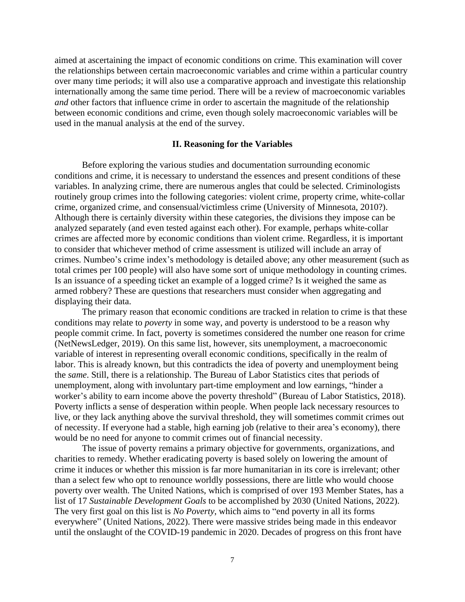aimed at ascertaining the impact of economic conditions on crime. This examination will cover the relationships between certain macroeconomic variables and crime within a particular country over many time periods; it will also use a comparative approach and investigate this relationship internationally among the same time period. There will be a review of macroeconomic variables *and* other factors that influence crime in order to ascertain the magnitude of the relationship between economic conditions and crime, even though solely macroeconomic variables will be used in the manual analysis at the end of the survey.

## **II. Reasoning for the Variables**

Before exploring the various studies and documentation surrounding economic conditions and crime, it is necessary to understand the essences and present conditions of these variables. In analyzing crime, there are numerous angles that could be selected. Criminologists routinely group crimes into the following categories: violent crime, property crime, white-collar crime, organized crime, and consensual/victimless crime (University of Minnesota, 2010?). Although there is certainly diversity within these categories, the divisions they impose can be analyzed separately (and even tested against each other). For example, perhaps white-collar crimes are affected more by economic conditions than violent crime. Regardless, it is important to consider that whichever method of crime assessment is utilized will include an array of crimes. Numbeo's crime index's methodology is detailed above; any other measurement (such as total crimes per 100 people) will also have some sort of unique methodology in counting crimes. Is an issuance of a speeding ticket an example of a logged crime? Is it weighed the same as armed robbery? These are questions that researchers must consider when aggregating and displaying their data.

The primary reason that economic conditions are tracked in relation to crime is that these conditions may relate to *poverty* in some way, and poverty is understood to be a reason why people commit crime. In fact, poverty is sometimes considered the number one reason for crime (NetNewsLedger, 2019). On this same list, however, sits unemployment, a macroeconomic variable of interest in representing overall economic conditions, specifically in the realm of labor. This is already known, but this contradicts the idea of poverty and unemployment being the *same*. Still, there is a relationship. The Bureau of Labor Statistics cites that periods of unemployment, along with involuntary part-time employment and low earnings, "hinder a worker's ability to earn income above the poverty threshold" (Bureau of Labor Statistics, 2018). Poverty inflicts a sense of desperation within people. When people lack necessary resources to live, or they lack anything above the survival threshold, they will sometimes commit crimes out of necessity. If everyone had a stable, high earning job (relative to their area's economy), there would be no need for anyone to commit crimes out of financial necessity.

The issue of poverty remains a primary objective for governments, organizations, and charities to remedy. Whether eradicating poverty is based solely on lowering the amount of crime it induces or whether this mission is far more humanitarian in its core is irrelevant; other than a select few who opt to renounce worldly possessions, there are little who would choose poverty over wealth. The United Nations, which is comprised of over 193 Member States, has a list of 17 *Sustainable Development Goals* to be accomplished by 2030 (United Nations, 2022). The very first goal on this list is *No Poverty*, which aims to "end poverty in all its forms everywhere" (United Nations, 2022). There were massive strides being made in this endeavor until the onslaught of the COVID-19 pandemic in 2020. Decades of progress on this front have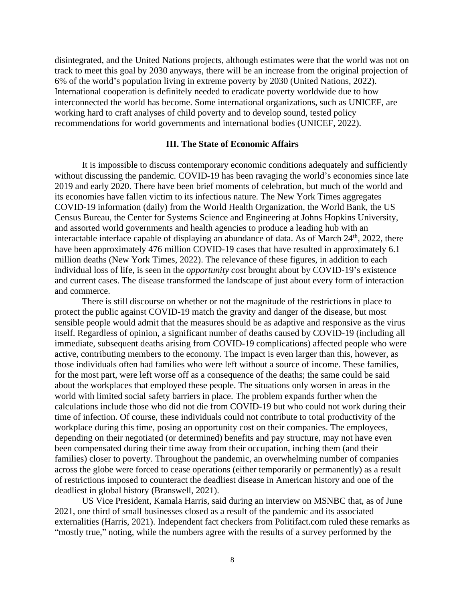disintegrated, and the United Nations projects, although estimates were that the world was not on track to meet this goal by 2030 anyways, there will be an increase from the original projection of 6% of the world's population living in extreme poverty by 2030 (United Nations, 2022). International cooperation is definitely needed to eradicate poverty worldwide due to how interconnected the world has become. Some international organizations, such as UNICEF, are working hard to craft analyses of child poverty and to develop sound, tested policy recommendations for world governments and international bodies (UNICEF, 2022).

# **III. The State of Economic Affairs**

It is impossible to discuss contemporary economic conditions adequately and sufficiently without discussing the pandemic. COVID-19 has been ravaging the world's economies since late 2019 and early 2020. There have been brief moments of celebration, but much of the world and its economies have fallen victim to its infectious nature. The New York Times aggregates COVID-19 information (daily) from the World Health Organization, the World Bank, the US Census Bureau, the Center for Systems Science and Engineering at Johns Hopkins University, and assorted world governments and health agencies to produce a leading hub with an interactable interface capable of displaying an abundance of data. As of March  $24<sup>th</sup>$ ,  $2022$ , there have been approximately 476 million COVID-19 cases that have resulted in approximately 6.1 million deaths (New York Times, 2022). The relevance of these figures, in addition to each individual loss of life, is seen in the *opportunity cost* brought about by COVID-19's existence and current cases. The disease transformed the landscape of just about every form of interaction and commerce.

There is still discourse on whether or not the magnitude of the restrictions in place to protect the public against COVID-19 match the gravity and danger of the disease, but most sensible people would admit that the measures should be as adaptive and responsive as the virus itself. Regardless of opinion, a significant number of deaths caused by COVID-19 (including all immediate, subsequent deaths arising from COVID-19 complications) affected people who were active, contributing members to the economy. The impact is even larger than this, however, as those individuals often had families who were left without a source of income. These families, for the most part, were left worse off as a consequence of the deaths; the same could be said about the workplaces that employed these people. The situations only worsen in areas in the world with limited social safety barriers in place. The problem expands further when the calculations include those who did not die from COVID-19 but who could not work during their time of infection. Of course, these individuals could not contribute to total productivity of the workplace during this time, posing an opportunity cost on their companies. The employees, depending on their negotiated (or determined) benefits and pay structure, may not have even been compensated during their time away from their occupation, inching them (and their families) closer to poverty. Throughout the pandemic, an overwhelming number of companies across the globe were forced to cease operations (either temporarily or permanently) as a result of restrictions imposed to counteract the deadliest disease in American history and one of the deadliest in global history (Branswell, 2021).

US Vice President, Kamala Harris, said during an interview on MSNBC that, as of June 2021, one third of small businesses closed as a result of the pandemic and its associated externalities (Harris, 2021). Independent fact checkers from Politifact.com ruled these remarks as "mostly true," noting, while the numbers agree with the results of a survey performed by the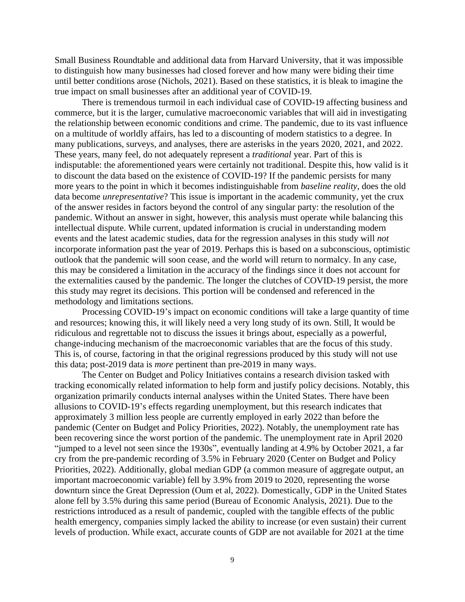Small Business Roundtable and additional data from Harvard University, that it was impossible to distinguish how many businesses had closed forever and how many were biding their time until better conditions arose (Nichols, 2021). Based on these statistics, it is bleak to imagine the true impact on small businesses after an additional year of COVID-19.

There is tremendous turmoil in each individual case of COVID-19 affecting business and commerce, but it is the larger, cumulative macroeconomic variables that will aid in investigating the relationship between economic conditions and crime. The pandemic, due to its vast influence on a multitude of worldly affairs, has led to a discounting of modern statistics to a degree. In many publications, surveys, and analyses, there are asterisks in the years 2020, 2021, and 2022. These years, many feel, do not adequately represent a *traditional* year. Part of this is indisputable: the aforementioned years were certainly not traditional. Despite this, how valid is it to discount the data based on the existence of COVID-19? If the pandemic persists for many more years to the point in which it becomes indistinguishable from *baseline reality*, does the old data become *unrepresentative*? This issue is important in the academic community, yet the crux of the answer resides in factors beyond the control of any singular party: the resolution of the pandemic. Without an answer in sight, however, this analysis must operate while balancing this intellectual dispute. While current, updated information is crucial in understanding modern events and the latest academic studies, data for the regression analyses in this study will *not* incorporate information past the year of 2019. Perhaps this is based on a subconscious, optimistic outlook that the pandemic will soon cease, and the world will return to normalcy. In any case, this may be considered a limitation in the accuracy of the findings since it does not account for the externalities caused by the pandemic. The longer the clutches of COVID-19 persist, the more this study may regret its decisions. This portion will be condensed and referenced in the methodology and limitations sections.

Processing COVID-19's impact on economic conditions will take a large quantity of time and resources; knowing this, it will likely need a very long study of its own. Still, It would be ridiculous and regrettable not to discuss the issues it brings about, especially as a powerful, change-inducing mechanism of the macroeconomic variables that are the focus of this study. This is, of course, factoring in that the original regressions produced by this study will not use this data; post-2019 data is *more* pertinent than pre-2019 in many ways.

The Center on Budget and Policy Initiatives contains a research division tasked with tracking economically related information to help form and justify policy decisions. Notably, this organization primarily conducts internal analyses within the United States. There have been allusions to COVID-19's effects regarding unemployment, but this research indicates that approximately 3 million less people are currently employed in early 2022 than before the pandemic (Center on Budget and Policy Priorities, 2022). Notably, the unemployment rate has been recovering since the worst portion of the pandemic. The unemployment rate in April 2020 "jumped to a level not seen since the 1930s", eventually landing at 4.9% by October 2021, a far cry from the pre-pandemic recording of 3.5% in February 2020 (Center on Budget and Policy Priorities, 2022). Additionally, global median GDP (a common measure of aggregate output, an important macroeconomic variable) fell by 3.9% from 2019 to 2020, representing the worse downturn since the Great Depression (Oum et al, 2022). Domestically, GDP in the United States alone fell by 3.5% during this same period (Bureau of Economic Analysis, 2021). Due to the restrictions introduced as a result of pandemic, coupled with the tangible effects of the public health emergency, companies simply lacked the ability to increase (or even sustain) their current levels of production. While exact, accurate counts of GDP are not available for 2021 at the time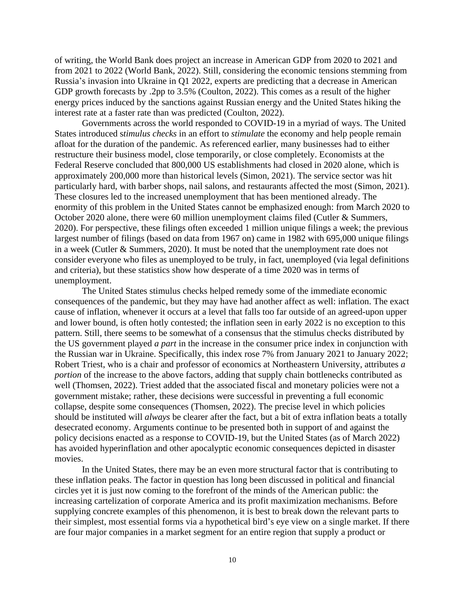of writing, the World Bank does project an increase in American GDP from 2020 to 2021 and from 2021 to 2022 (World Bank, 2022). Still, considering the economic tensions stemming from Russia's invasion into Ukraine in Q1 2022, experts are predicting that a decrease in American GDP growth forecasts by .2pp to 3.5% (Coulton, 2022). This comes as a result of the higher energy prices induced by the sanctions against Russian energy and the United States hiking the interest rate at a faster rate than was predicted (Coulton, 2022).

Governments across the world responded to COVID-19 in a myriad of ways. The United States introduced s*timulus checks* in an effort to *stimulate* the economy and help people remain afloat for the duration of the pandemic. As referenced earlier, many businesses had to either restructure their business model, close temporarily, or close completely. Economists at the Federal Reserve concluded that 800,000 US establishments had closed in 2020 alone, which is approximately 200,000 more than historical levels (Simon, 2021). The service sector was hit particularly hard, with barber shops, nail salons, and restaurants affected the most (Simon, 2021). These closures led to the increased unemployment that has been mentioned already. The enormity of this problem in the United States cannot be emphasized enough: from March 2020 to October 2020 alone, there were 60 million unemployment claims filed (Cutler & Summers, 2020). For perspective, these filings often exceeded 1 million unique filings a week; the previous largest number of filings (based on data from 1967 on) came in 1982 with 695,000 unique filings in a week (Cutler & Summers, 2020). It must be noted that the unemployment rate does not consider everyone who files as unemployed to be truly, in fact, unemployed (via legal definitions and criteria), but these statistics show how desperate of a time 2020 was in terms of unemployment.

The United States stimulus checks helped remedy some of the immediate economic consequences of the pandemic, but they may have had another affect as well: inflation. The exact cause of inflation, whenever it occurs at a level that falls too far outside of an agreed-upon upper and lower bound, is often hotly contested; the inflation seen in early 2022 is no exception to this pattern. Still, there seems to be somewhat of a consensus that the stimulus checks distributed by the US government played *a part* in the increase in the consumer price index in conjunction with the Russian war in Ukraine. Specifically, this index rose 7% from January 2021 to January 2022; Robert Triest, who is a chair and professor of economics at Northeastern University, attributes *a portion* of the increase to the above factors, adding that supply chain bottlenecks contributed as well (Thomsen, 2022). Triest added that the associated fiscal and monetary policies were not a government mistake; rather, these decisions were successful in preventing a full economic collapse, despite some consequences (Thomsen, 2022). The precise level in which policies should be instituted will *always* be clearer after the fact, but a bit of extra inflation beats a totally desecrated economy. Arguments continue to be presented both in support of and against the policy decisions enacted as a response to COVID-19, but the United States (as of March 2022) has avoided hyperinflation and other apocalyptic economic consequences depicted in disaster movies.

In the United States, there may be an even more structural factor that is contributing to these inflation peaks. The factor in question has long been discussed in political and financial circles yet it is just now coming to the forefront of the minds of the American public: the increasing cartelization of corporate America and its profit maximization mechanisms. Before supplying concrete examples of this phenomenon, it is best to break down the relevant parts to their simplest, most essential forms via a hypothetical bird's eye view on a single market. If there are four major companies in a market segment for an entire region that supply a product or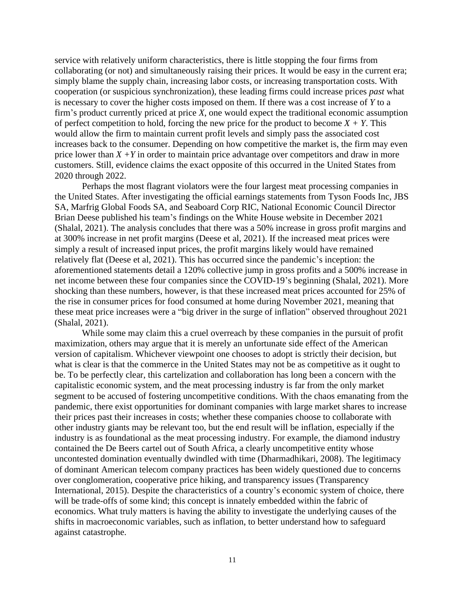service with relatively uniform characteristics, there is little stopping the four firms from collaborating (or not) and simultaneously raising their prices. It would be easy in the current era; simply blame the supply chain, increasing labor costs, or increasing transportation costs. With cooperation (or suspicious synchronization), these leading firms could increase prices *past* what is necessary to cover the higher costs imposed on them. If there was a cost increase of *Y* to a firm's product currently priced at price *X*, one would expect the traditional economic assumption of perfect competition to hold, forcing the new price for the product to become  $X + Y$ . This would allow the firm to maintain current profit levels and simply pass the associated cost increases back to the consumer. Depending on how competitive the market is, the firm may even price lower than  $X + Y$  in order to maintain price advantage over competitors and draw in more customers. Still, evidence claims the exact opposite of this occurred in the United States from 2020 through 2022.

Perhaps the most flagrant violators were the four largest meat processing companies in the United States. After investigating the official earnings statements from Tyson Foods Inc, JBS SA, Marfrig Global Foods SA, and Seaboard Corp RIC, National Economic Council Director Brian Deese published his team's findings on the White House website in December 2021 (Shalal, 2021). The analysis concludes that there was a 50% increase in gross profit margins and at 300% increase in net profit margins (Deese et al, 2021). If the increased meat prices were simply a result of increased input prices, the profit margins likely would have remained relatively flat (Deese et al, 2021). This has occurred since the pandemic's inception: the aforementioned statements detail a 120% collective jump in gross profits and a 500% increase in net income between these four companies since the COVID-19's beginning (Shalal, 2021). More shocking than these numbers, however, is that these increased meat prices accounted for 25% of the rise in consumer prices for food consumed at home during November 2021, meaning that these meat price increases were a "big driver in the surge of inflation" observed throughout 2021 (Shalal, 2021).

While some may claim this a cruel overreach by these companies in the pursuit of profit maximization, others may argue that it is merely an unfortunate side effect of the American version of capitalism. Whichever viewpoint one chooses to adopt is strictly their decision, but what is clear is that the commerce in the United States may not be as competitive as it ought to be. To be perfectly clear, this cartelization and collaboration has long been a concern with the capitalistic economic system, and the meat processing industry is far from the only market segment to be accused of fostering uncompetitive conditions. With the chaos emanating from the pandemic, there exist opportunities for dominant companies with large market shares to increase their prices past their increases in costs; whether these companies choose to collaborate with other industry giants may be relevant too, but the end result will be inflation, especially if the industry is as foundational as the meat processing industry. For example, the diamond industry contained the De Beers cartel out of South Africa, a clearly uncompetitive entity whose uncontested domination eventually dwindled with time (Dharmadhikari, 2008). The legitimacy of dominant American telecom company practices has been widely questioned due to concerns over conglomeration, cooperative price hiking, and transparency issues (Transparency International, 2015). Despite the characteristics of a country's economic system of choice, there will be trade-offs of some kind; this concept is innately embedded within the fabric of economics. What truly matters is having the ability to investigate the underlying causes of the shifts in macroeconomic variables, such as inflation, to better understand how to safeguard against catastrophe.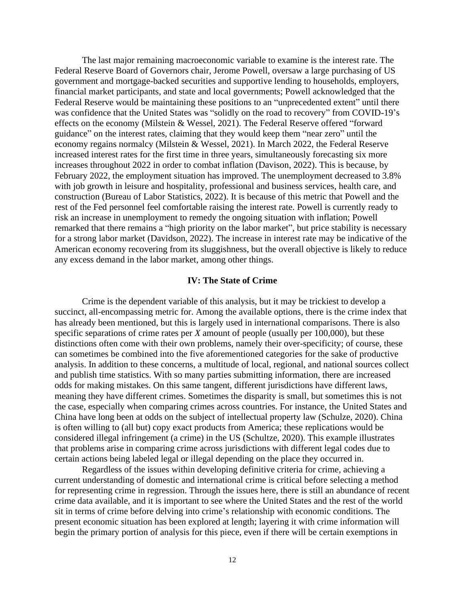The last major remaining macroeconomic variable to examine is the interest rate. The Federal Reserve Board of Governors chair, Jerome Powell, oversaw a large purchasing of US government and mortgage-backed securities and supportive lending to households, employers, financial market participants, and state and local governments; Powell acknowledged that the Federal Reserve would be maintaining these positions to an "unprecedented extent" until there was confidence that the United States was "solidly on the road to recovery" from COVID-19's effects on the economy (Milstein & Wessel, 2021). The Federal Reserve offered "forward guidance" on the interest rates, claiming that they would keep them "near zero" until the economy regains normalcy (Milstein & Wessel, 2021). In March 2022, the Federal Reserve increased interest rates for the first time in three years, simultaneously forecasting six more increases throughout 2022 in order to combat inflation (Davison, 2022). This is because, by February 2022, the employment situation has improved. The unemployment decreased to 3.8% with job growth in leisure and hospitality, professional and business services, health care, and construction (Bureau of Labor Statistics, 2022). It is because of this metric that Powell and the rest of the Fed personnel feel comfortable raising the interest rate. Powell is currently ready to risk an increase in unemployment to remedy the ongoing situation with inflation; Powell remarked that there remains a "high priority on the labor market", but price stability is necessary for a strong labor market (Davidson, 2022). The increase in interest rate may be indicative of the American economy recovering from its sluggishness, but the overall objective is likely to reduce any excess demand in the labor market, among other things.

# **IV: The State of Crime**

Crime is the dependent variable of this analysis, but it may be trickiest to develop a succinct, all-encompassing metric for. Among the available options, there is the crime index that has already been mentioned, but this is largely used in international comparisons. There is also specific separations of crime rates per *X* amount of people (usually per 100,000), but these distinctions often come with their own problems, namely their over-specificity; of course, these can sometimes be combined into the five aforementioned categories for the sake of productive analysis. In addition to these concerns, a multitude of local, regional, and national sources collect and publish time statistics. With so many parties submitting information, there are increased odds for making mistakes. On this same tangent, different jurisdictions have different laws, meaning they have different crimes. Sometimes the disparity is small, but sometimes this is not the case, especially when comparing crimes across countries. For instance, the United States and China have long been at odds on the subject of intellectual property law (Schulze, 2020). China is often willing to (all but) copy exact products from America; these replications would be considered illegal infringement (a crime) in the US (Schultze, 2020). This example illustrates that problems arise in comparing crime across jurisdictions with different legal codes due to certain actions being labeled legal or illegal depending on the place they occurred in.

Regardless of the issues within developing definitive criteria for crime, achieving a current understanding of domestic and international crime is critical before selecting a method for representing crime in regression. Through the issues here, there is still an abundance of recent crime data available, and it is important to see where the United States and the rest of the world sit in terms of crime before delving into crime's relationship with economic conditions. The present economic situation has been explored at length; layering it with crime information will begin the primary portion of analysis for this piece, even if there will be certain exemptions in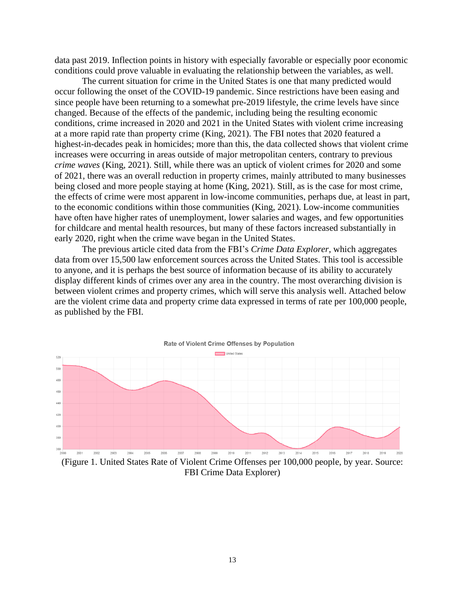data past 2019. Inflection points in history with especially favorable or especially poor economic conditions could prove valuable in evaluating the relationship between the variables, as well.

The current situation for crime in the United States is one that many predicted would occur following the onset of the COVID-19 pandemic. Since restrictions have been easing and since people have been returning to a somewhat pre-2019 lifestyle, the crime levels have since changed. Because of the effects of the pandemic, including being the resulting economic conditions, crime increased in 2020 and 2021 in the United States with violent crime increasing at a more rapid rate than property crime (King, 2021). The FBI notes that 2020 featured a highest-in-decades peak in homicides; more than this, the data collected shows that violent crime increases were occurring in areas outside of major metropolitan centers, contrary to previous *crime waves* (King, 2021). Still, while there was an uptick of violent crimes for 2020 and some of 2021, there was an overall reduction in property crimes, mainly attributed to many businesses being closed and more people staying at home (King, 2021). Still, as is the case for most crime, the effects of crime were most apparent in low-income communities, perhaps due, at least in part, to the economic conditions within those communities (King, 2021). Low-income communities have often have higher rates of unemployment, lower salaries and wages, and few opportunities for childcare and mental health resources, but many of these factors increased substantially in early 2020, right when the crime wave began in the United States.

The previous article cited data from the FBI's *Crime Data Explorer*, which aggregates data from over 15,500 law enforcement sources across the United States. This tool is accessible to anyone, and it is perhaps the best source of information because of its ability to accurately display different kinds of crimes over any area in the country. The most overarching division is between violent crimes and property crimes, which will serve this analysis well. Attached below are the violent crime data and property crime data expressed in terms of rate per 100,000 people, as published by the FBI.

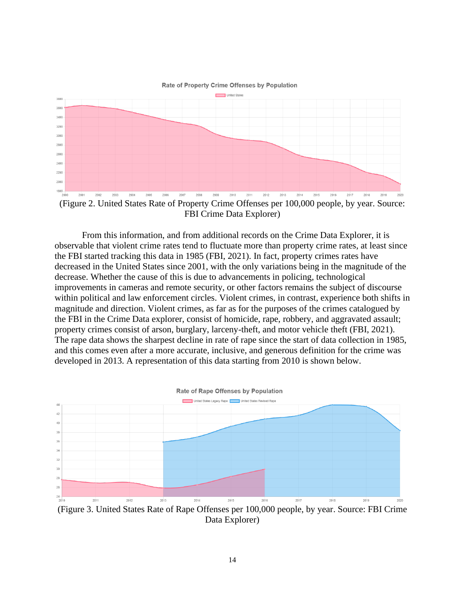

Rate of Property Crime Offenses by Population

FBI Crime Data Explorer)

From this information, and from additional records on the Crime Data Explorer, it is observable that violent crime rates tend to fluctuate more than property crime rates, at least since the FBI started tracking this data in 1985 (FBI, 2021). In fact, property crimes rates have decreased in the United States since 2001, with the only variations being in the magnitude of the decrease. Whether the cause of this is due to advancements in policing, technological improvements in cameras and remote security, or other factors remains the subject of discourse within political and law enforcement circles. Violent crimes, in contrast, experience both shifts in magnitude and direction. Violent crimes, as far as for the purposes of the crimes catalogued by the FBI in the Crime Data explorer, consist of homicide, rape, robbery, and aggravated assault; property crimes consist of arson, burglary, larceny-theft, and motor vehicle theft (FBI, 2021). The rape data shows the sharpest decline in rate of rape since the start of data collection in 1985, and this comes even after a more accurate, inclusive, and generous definition for the crime was developed in 2013. A representation of this data starting from 2010 is shown below.



(Figure 3. United States Rate of Rape Offenses per 100,000 people, by year. Source: FBI Crime Data Explorer)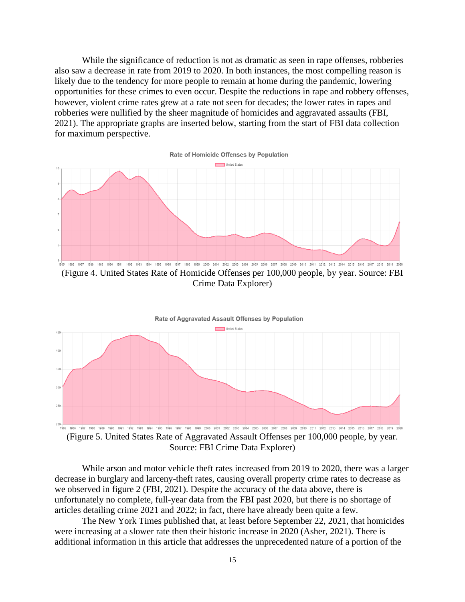While the significance of reduction is not as dramatic as seen in rape offenses, robberies also saw a decrease in rate from 2019 to 2020. In both instances, the most compelling reason is likely due to the tendency for more people to remain at home during the pandemic, lowering opportunities for these crimes to even occur. Despite the reductions in rape and robbery offenses, however, violent crime rates grew at a rate not seen for decades; the lower rates in rapes and robberies were nullified by the sheer magnitude of homicides and aggravated assaults (FBI, 2021). The appropriate graphs are inserted below, starting from the start of FBI data collection for maximum perspective.



Crime Data Explorer)



While arson and motor vehicle theft rates increased from 2019 to 2020, there was a larger decrease in burglary and larceny-theft rates, causing overall property crime rates to decrease as we observed in figure 2 (FBI, 2021). Despite the accuracy of the data above, there is unfortunately no complete, full-year data from the FBI past 2020, but there is no shortage of articles detailing crime 2021 and 2022; in fact, there have already been quite a few.

The New York Times published that, at least before September 22, 2021, that homicides were increasing at a slower rate then their historic increase in 2020 (Asher, 2021). There is additional information in this article that addresses the unprecedented nature of a portion of the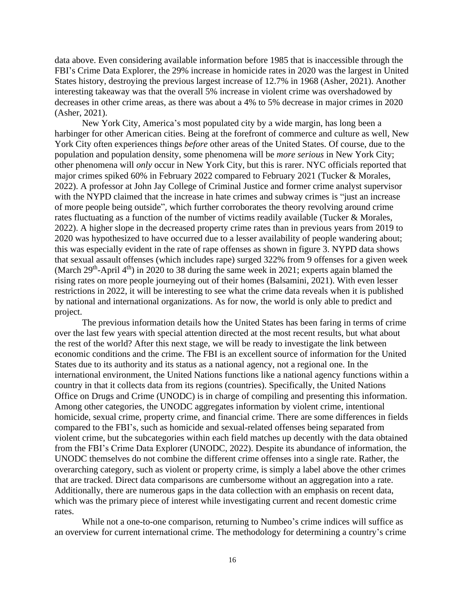data above. Even considering available information before 1985 that is inaccessible through the FBI's Crime Data Explorer, the 29% increase in homicide rates in 2020 was the largest in United States history, destroying the previous largest increase of 12.7% in 1968 (Asher, 2021). Another interesting takeaway was that the overall 5% increase in violent crime was overshadowed by decreases in other crime areas, as there was about a 4% to 5% decrease in major crimes in 2020 (Asher, 2021).

New York City, America's most populated city by a wide margin, has long been a harbinger for other American cities. Being at the forefront of commerce and culture as well, New York City often experiences things *before* other areas of the United States. Of course, due to the population and population density, some phenomena will be *more serious* in New York City; other phenomena will *only* occur in New York City, but this is rarer. NYC officials reported that major crimes spiked 60% in February 2022 compared to February 2021 (Tucker & Morales, 2022). A professor at John Jay College of Criminal Justice and former crime analyst supervisor with the NYPD claimed that the increase in hate crimes and subway crimes is "just an increase" of more people being outside", which further corroborates the theory revolving around crime rates fluctuating as a function of the number of victims readily available (Tucker & Morales, 2022). A higher slope in the decreased property crime rates than in previous years from 2019 to 2020 was hypothesized to have occurred due to a lesser availability of people wandering about; this was especially evident in the rate of rape offenses as shown in figure 3. NYPD data shows that sexual assault offenses (which includes rape) surged 322% from 9 offenses for a given week (March  $29<sup>th</sup>$ -April 4<sup>th</sup>) in 2020 to 38 during the same week in 2021; experts again blamed the rising rates on more people journeying out of their homes (Balsamini, 2021). With even lesser restrictions in 2022, it will be interesting to see what the crime data reveals when it is published by national and international organizations. As for now, the world is only able to predict and project.

The previous information details how the United States has been faring in terms of crime over the last few years with special attention directed at the most recent results, but what about the rest of the world? After this next stage, we will be ready to investigate the link between economic conditions and the crime. The FBI is an excellent source of information for the United States due to its authority and its status as a national agency, not a regional one. In the international environment, the United Nations functions like a national agency functions within a country in that it collects data from its regions (countries). Specifically, the United Nations Office on Drugs and Crime (UNODC) is in charge of compiling and presenting this information. Among other categories, the UNODC aggregates information by violent crime, intentional homicide, sexual crime, property crime, and financial crime. There are some differences in fields compared to the FBI's, such as homicide and sexual-related offenses being separated from violent crime, but the subcategories within each field matches up decently with the data obtained from the FBI's Crime Data Explorer (UNODC, 2022). Despite its abundance of information, the UNODC themselves do not combine the different crime offenses into a single rate. Rather, the overarching category, such as violent or property crime, is simply a label above the other crimes that are tracked. Direct data comparisons are cumbersome without an aggregation into a rate. Additionally, there are numerous gaps in the data collection with an emphasis on recent data, which was the primary piece of interest while investigating current and recent domestic crime rates.

While not a one-to-one comparison, returning to Numbeo's crime indices will suffice as an overview for current international crime. The methodology for determining a country's crime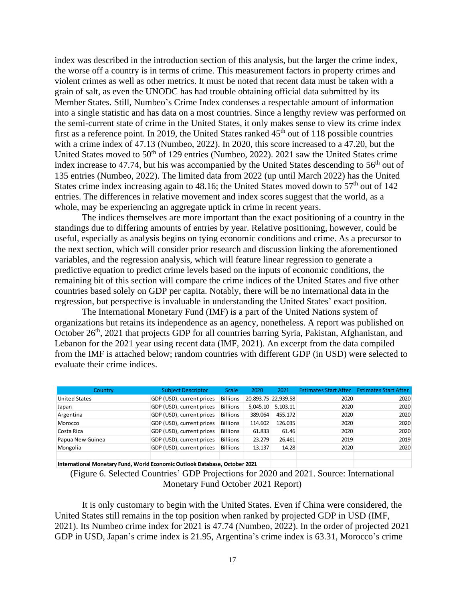index was described in the introduction section of this analysis, but the larger the crime index, the worse off a country is in terms of crime. This measurement factors in property crimes and violent crimes as well as other metrics. It must be noted that recent data must be taken with a grain of salt, as even the UNODC has had trouble obtaining official data submitted by its Member States. Still, Numbeo's Crime Index condenses a respectable amount of information into a single statistic and has data on a most countries. Since a lengthy review was performed on the semi-current state of crime in the United States, it only makes sense to view its crime index first as a reference point. In 2019, the United States ranked  $45<sup>th</sup>$  out of 118 possible countries with a crime index of 47.13 (Numbeo, 2022). In 2020, this score increased to a 47.20, but the United States moved to 50<sup>th</sup> of 129 entries (Numbeo, 2022). 2021 saw the United States crime index increase to 47.74, but his was accompanied by the United States descending to 56<sup>th</sup> out of 135 entries (Numbeo, 2022). The limited data from 2022 (up until March 2022) has the United States crime index increasing again to  $48.16$ ; the United States moved down to  $57<sup>th</sup>$  out of  $142$ entries. The differences in relative movement and index scores suggest that the world, as a whole, may be experiencing an aggregate uptick in crime in recent years.

The indices themselves are more important than the exact positioning of a country in the standings due to differing amounts of entries by year. Relative positioning, however, could be useful, especially as analysis begins on tying economic conditions and crime. As a precursor to the next section, which will consider prior research and discussion linking the aforementioned variables, and the regression analysis, which will feature linear regression to generate a predictive equation to predict crime levels based on the inputs of economic conditions, the remaining bit of this section will compare the crime indices of the United States and five other countries based solely on GDP per capita. Notably, there will be no international data in the regression, but perspective is invaluable in understanding the United States' exact position.

The International Monetary Fund (IMF) is a part of the United Nations system of organizations but retains its independence as an agency, nonetheless. A report was published on October 26<sup>th</sup>, 2021 that projects GDP for all countries barring Syria, Pakistan, Afghanistan, and Lebanon for the 2021 year using recent data (IMF, 2021). An excerpt from the data compiled from the IMF is attached below; random countries with different GDP (in USD) were selected to evaluate their crime indices.

| Country              | <b>Subject Descriptor</b> | <b>Scale</b>    | 2020     | 2021                | Estimates Start After Estimates Start After |      |
|----------------------|---------------------------|-----------------|----------|---------------------|---------------------------------------------|------|
| <b>United States</b> | GDP (USD), current prices | <b>Billions</b> |          | 20,893.75 22,939.58 | 2020                                        | 2020 |
| Japan                | GDP (USD), current prices | <b>Billions</b> | 5,045.10 | 5,103.11            | 2020                                        | 2020 |
| Argentina            | GDP (USD), current prices | <b>Billions</b> | 389.064  | 455.172             | 2020                                        | 2020 |
| Morocco              | GDP (USD), current prices | <b>Billions</b> | 114.602  | 126.035             | 2020                                        | 2020 |
| Costa Rica           | GDP (USD), current prices | <b>Billions</b> | 61.833   | 61.46               | 2020                                        | 2020 |
| Papua New Guinea     | GDP (USD), current prices | <b>Billions</b> | 23.279   | 26.461              | 2019                                        | 2019 |
| Mongolia             | GDP (USD), current prices | <b>Billions</b> | 13.137   | 14.28               | 2020                                        | 2020 |
|                      |                           |                 |          |                     |                                             |      |
|                      |                           |                 |          |                     |                                             |      |

**International Monetary Fund, World Economic Outlook Database, October 2021**

(Figure 6. Selected Countries' GDP Projections for 2020 and 2021. Source: International Monetary Fund October 2021 Report)

It is only customary to begin with the United States. Even if China were considered, the United States still remains in the top position when ranked by projected GDP in USD (IMF, 2021). Its Numbeo crime index for 2021 is 47.74 (Numbeo, 2022). In the order of projected 2021 GDP in USD, Japan's crime index is 21.95, Argentina's crime index is 63.31, Morocco's crime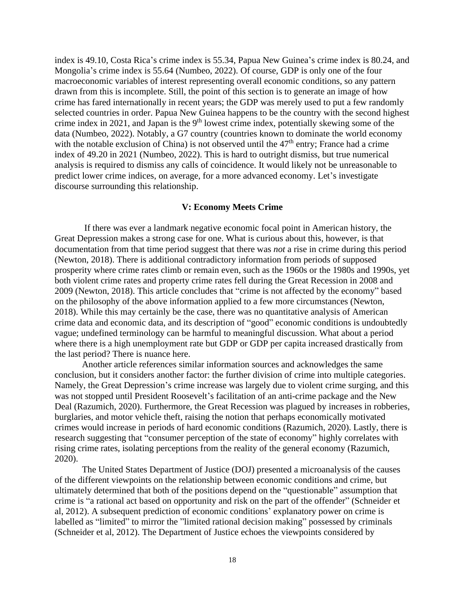index is 49.10, Costa Rica's crime index is 55.34, Papua New Guinea's crime index is 80.24, and Mongolia's crime index is 55.64 (Numbeo, 2022). Of course, GDP is only one of the four macroeconomic variables of interest representing overall economic conditions, so any pattern drawn from this is incomplete. Still, the point of this section is to generate an image of how crime has fared internationally in recent years; the GDP was merely used to put a few randomly selected countries in order. Papua New Guinea happens to be the country with the second highest crime index in 2021, and Japan is the 9<sup>th</sup> lowest crime index, potentially skewing some of the data (Numbeo, 2022). Notably, a G7 country (countries known to dominate the world economy with the notable exclusion of China) is not observed until the  $47<sup>th</sup>$  entry; France had a crime index of 49.20 in 2021 (Numbeo, 2022). This is hard to outright dismiss, but true numerical analysis is required to dismiss any calls of coincidence. It would likely not be unreasonable to predict lower crime indices, on average, for a more advanced economy. Let's investigate discourse surrounding this relationship.

# **V: Economy Meets Crime**

If there was ever a landmark negative economic focal point in American history, the Great Depression makes a strong case for one. What is curious about this, however, is that documentation from that time period suggest that there was *not* a rise in crime during this period (Newton, 2018). There is additional contradictory information from periods of supposed prosperity where crime rates climb or remain even, such as the 1960s or the 1980s and 1990s, yet both violent crime rates and property crime rates fell during the Great Recession in 2008 and 2009 (Newton, 2018). This article concludes that "crime is not affected by the economy" based on the philosophy of the above information applied to a few more circumstances (Newton, 2018). While this may certainly be the case, there was no quantitative analysis of American crime data and economic data, and its description of "good" economic conditions is undoubtedly vague; undefined terminology can be harmful to meaningful discussion. What about a period where there is a high unemployment rate but GDP or GDP per capita increased drastically from the last period? There is nuance here.

Another article references similar information sources and acknowledges the same conclusion, but it considers another factor: the further division of crime into multiple categories. Namely, the Great Depression's crime increase was largely due to violent crime surging, and this was not stopped until President Roosevelt's facilitation of an anti-crime package and the New Deal (Razumich, 2020). Furthermore, the Great Recession was plagued by increases in robberies, burglaries, and motor vehicle theft, raising the notion that perhaps economically motivated crimes would increase in periods of hard economic conditions (Razumich, 2020). Lastly, there is research suggesting that "consumer perception of the state of economy" highly correlates with rising crime rates, isolating perceptions from the reality of the general economy (Razumich, 2020).

The United States Department of Justice (DOJ) presented a microanalysis of the causes of the different viewpoints on the relationship between economic conditions and crime, but ultimately determined that both of the positions depend on the "questionable" assumption that crime is "a rational act based on opportunity and risk on the part of the offender" (Schneider et al, 2012). A subsequent prediction of economic conditions' explanatory power on crime is labelled as "limited" to mirror the "limited rational decision making" possessed by criminals (Schneider et al, 2012). The Department of Justice echoes the viewpoints considered by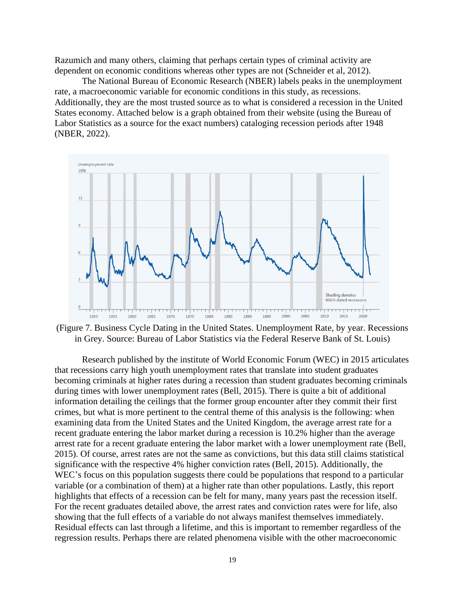Razumich and many others, claiming that perhaps certain types of criminal activity are dependent on economic conditions whereas other types are not (Schneider et al, 2012).

The National Bureau of Economic Research (NBER) labels peaks in the unemployment rate, a macroeconomic variable for economic conditions in this study, as recessions. Additionally, they are the most trusted source as to what is considered a recession in the United States economy. Attached below is a graph obtained from their website (using the Bureau of Labor Statistics as a source for the exact numbers) cataloging recession periods after 1948 (NBER, 2022).



(Figure 7. Business Cycle Dating in the United States. Unemployment Rate, by year. Recessions in Grey. Source: Bureau of Labor Statistics via the Federal Reserve Bank of St. Louis)

Research published by the institute of World Economic Forum (WEC) in 2015 articulates that recessions carry high youth unemployment rates that translate into student graduates becoming criminals at higher rates during a recession than student graduates becoming criminals during times with lower unemployment rates (Bell, 2015). There is quite a bit of additional information detailing the ceilings that the former group encounter after they commit their first crimes, but what is more pertinent to the central theme of this analysis is the following: when examining data from the United States and the United Kingdom, the average arrest rate for a recent graduate entering the labor market during a recession is 10.2% higher than the average arrest rate for a recent graduate entering the labor market with a lower unemployment rate (Bell, 2015). Of course, arrest rates are not the same as convictions, but this data still claims statistical significance with the respective 4% higher conviction rates (Bell, 2015). Additionally, the WEC's focus on this population suggests there could be populations that respond to a particular variable (or a combination of them) at a higher rate than other populations. Lastly, this report highlights that effects of a recession can be felt for many, many years past the recession itself. For the recent graduates detailed above, the arrest rates and conviction rates were for life, also showing that the full effects of a variable do not always manifest themselves immediately. Residual effects can last through a lifetime, and this is important to remember regardless of the regression results. Perhaps there are related phenomena visible with the other macroeconomic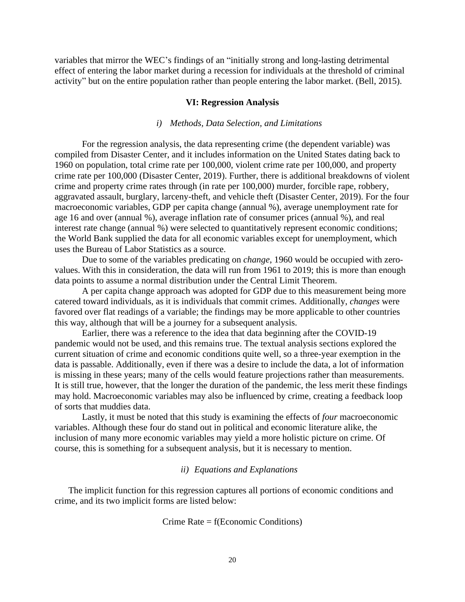variables that mirror the WEC's findings of an "initially strong and long-lasting detrimental effect of entering the labor market during a recession for individuals at the threshold of criminal activity" but on the entire population rather than people entering the labor market. (Bell, 2015).

# **VI: Regression Analysis**

# *i) Methods, Data Selection, and Limitations*

For the regression analysis, the data representing crime (the dependent variable) was compiled from Disaster Center, and it includes information on the United States dating back to 1960 on population, total crime rate per 100,000, violent crime rate per 100,000, and property crime rate per 100,000 (Disaster Center, 2019). Further, there is additional breakdowns of violent crime and property crime rates through (in rate per 100,000) murder, forcible rape, robbery, aggravated assault, burglary, larceny-theft, and vehicle theft (Disaster Center, 2019). For the four macroeconomic variables, GDP per capita change (annual %), average unemployment rate for age 16 and over (annual %), average inflation rate of consumer prices (annual %), and real interest rate change (annual %) were selected to quantitatively represent economic conditions; the World Bank supplied the data for all economic variables except for unemployment, which uses the Bureau of Labor Statistics as a source.

Due to some of the variables predicating on *change*, 1960 would be occupied with zerovalues. With this in consideration, the data will run from 1961 to 2019; this is more than enough data points to assume a normal distribution under the Central Limit Theorem.

A per capita change approach was adopted for GDP due to this measurement being more catered toward individuals, as it is individuals that commit crimes. Additionally, *changes* were favored over flat readings of a variable; the findings may be more applicable to other countries this way, although that will be a journey for a subsequent analysis.

Earlier, there was a reference to the idea that data beginning after the COVID-19 pandemic would not be used, and this remains true. The textual analysis sections explored the current situation of crime and economic conditions quite well, so a three-year exemption in the data is passable. Additionally, even if there was a desire to include the data, a lot of information is missing in these years; many of the cells would feature projections rather than measurements. It is still true, however, that the longer the duration of the pandemic, the less merit these findings may hold. Macroeconomic variables may also be influenced by crime, creating a feedback loop of sorts that muddies data.

Lastly, it must be noted that this study is examining the effects of *four* macroeconomic variables. Although these four do stand out in political and economic literature alike, the inclusion of many more economic variables may yield a more holistic picture on crime. Of course, this is something for a subsequent analysis, but it is necessary to mention.

# *ii) Equations and Explanations*

The implicit function for this regression captures all portions of economic conditions and crime, and its two implicit forms are listed below:

$$
Crime Rate = f(Economic Conditions)
$$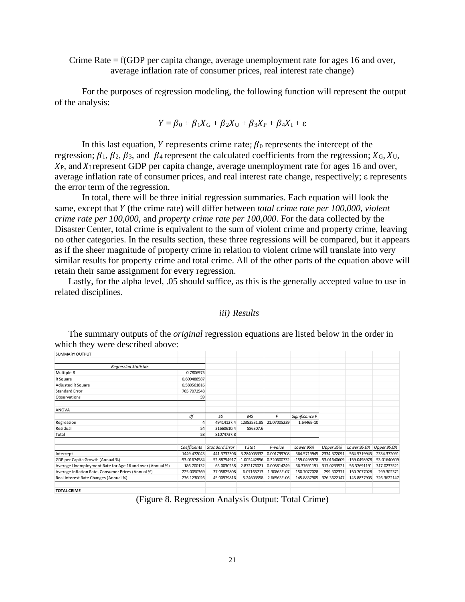Crime Rate = f(GDP per capita change, average unemployment rate for ages 16 and over, average inflation rate of consumer prices, real interest rate change)

For the purposes of regression modeling, the following function will represent the output of the analysis:

$$
Y = \beta_0 + \beta_1 X_G + \beta_2 X_U + \beta_3 X_P + \beta_4 X_I + \varepsilon
$$

In this last equation, Y represents crime rate;  $\beta_0$  represents the intercept of the regression;  $\beta_1$ ,  $\beta_2$ ,  $\beta_3$ , and  $\beta_4$  represent the calculated coefficients from the regression;  $X_G$ ,  $X_U$ ,  $X_{P}$ , and  $X_{I}$  represent GDP per capita change, average unemployment rate for ages 16 and over, average inflation rate of consumer prices, and real interest rate change, respectively; ε represents the error term of the regression.

In total, there will be three initial regression summaries. Each equation will look the same, except that Y (the crime rate) will differ between *total crime rate per 100,000*, *violent crime rate per 100,000*, and *property crime rate per 100,000*. For the data collected by the Disaster Center, total crime is equivalent to the sum of violent crime and property crime, leaving no other categories. In the results section, these three regressions will be compared, but it appears as if the sheer magnitude of property crime in relation to violent crime will translate into very similar results for property crime and total crime. All of the other parts of the equation above will retain their same assignment for every regression.

Lastly, for the alpha level, .05 should suffice, as this is the generally accepted value to use in related disciplines.

#### *iii) Results*

The summary outputs of the *original* regression equations are listed below in the order in which they were described above:

| <b>SUMMARY OUTPUT</b>                                    |              |                       |                |             |                |             |                |             |
|----------------------------------------------------------|--------------|-----------------------|----------------|-------------|----------------|-------------|----------------|-------------|
|                                                          |              |                       |                |             |                |             |                |             |
| <b>Regression Statistics</b>                             |              |                       |                |             |                |             |                |             |
| Multiple R                                               | 0.7806975    |                       |                |             |                |             |                |             |
| R Square                                                 | 0.609488587  |                       |                |             |                |             |                |             |
| Adjusted R Square                                        | 0.580561816  |                       |                |             |                |             |                |             |
| <b>Standard Error</b>                                    | 765.7072548  |                       |                |             |                |             |                |             |
| Observations                                             | 59           |                       |                |             |                |             |                |             |
| ANOVA                                                    |              |                       |                |             |                |             |                |             |
|                                                          | df           | SS                    | MS             | F           | Significance F |             |                |             |
| Regression                                               | 4            | 49414127.4            | 12353531.85    | 21.07005239 | 1.6446E-10     |             |                |             |
| Residual                                                 | 54           | 31660610.4            | 586307.6       |             |                |             |                |             |
| Total                                                    | 58           | 81074737.8            |                |             |                |             |                |             |
|                                                          | Coefficients | <b>Standard Error</b> | t Stat         | P-value     | Lower 95%      | Upper 95%   | Lower 95.0%    | Upper 95.0% |
| Intercept                                                | 1449.472043  | 441.3732306           | 3.284005332    | 0.001799708 | 564.5719945    | 2334.372091 | 564.5719945    | 2334.372091 |
| GDP per Capita Growth (Annual %)                         | -53.01674584 | 52.88754917           | $-1.002442856$ | 0.320600732 | -159.0498978   | 53.01640609 | $-159.0498978$ | 53.01640609 |
| Average Unemployment Rate for Age 16 and over (Annual %) | 186.700132   | 65.0030258            | 2.872176021    | 0.005814249 | 56.37691191    | 317.0233521 | 56.37691191    | 317.0233521 |
| Average Inflation Rate, Consumer Prices (Annual %)       | 225.0050369  | 37.05825808           | 6.07165713     | 1.30865E-07 | 150.7077028    | 299.302371  | 150.7077028    | 299.302371  |
| Real Interest Rate Changes (Annual %)                    | 236.1230026  | 45.00979816           | 5.24603558     | 2.66563E-06 | 145.8837905    | 326.3622147 | 145.8837905    | 326.3622147 |
| <b>TOTAL CRIME</b>                                       |              |                       |                |             |                |             |                |             |

(Figure 8. Regression Analysis Output: Total Crime)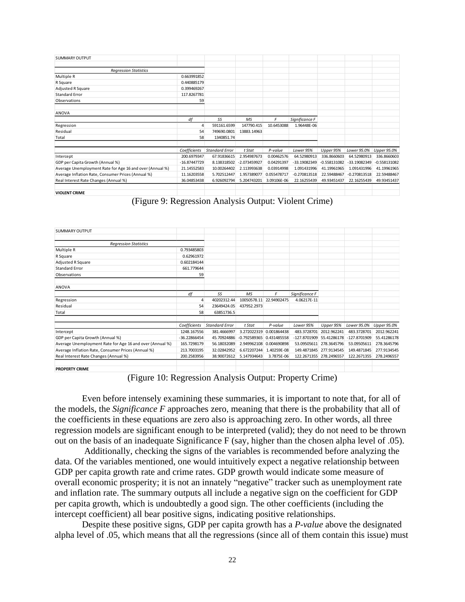| <b>SUMMARY OUTPUT</b>                                    |                |                       |              |             |                |                |                |                |
|----------------------------------------------------------|----------------|-----------------------|--------------|-------------|----------------|----------------|----------------|----------------|
|                                                          |                |                       |              |             |                |                |                |                |
| <b>Regression Statistics</b>                             |                |                       |              |             |                |                |                |                |
| Multiple R                                               | 0.663991852    |                       |              |             |                |                |                |                |
| R Square                                                 | 0.440885179    |                       |              |             |                |                |                |                |
| Adjusted R Square                                        | 0.399469267    |                       |              |             |                |                |                |                |
| <b>Standard Error</b>                                    | 117.8267781    |                       |              |             |                |                |                |                |
| Observations                                             | 59             |                       |              |             |                |                |                |                |
| <b>ANOVA</b>                                             |                |                       |              |             |                |                |                |                |
|                                                          | df             | .SS                   | M.S          | F           | Significance F |                |                |                |
| Regression                                               | 4              | 591161.6599           | 147790.415   | 10.6453088  | 1.96448E-06    |                |                |                |
| Residual                                                 | 54             | 749690.0801           | 13883.14963  |             |                |                |                |                |
| Total                                                    | 58             | 1340851.74            |              |             |                |                |                |                |
|                                                          | Coefficients   | <b>Standard Error</b> | t Stat       | P-value     | Lower 95%      | Upper 95%      | Lower 95.0%    | Upper 95.0%    |
| Intercept                                                | 200.6979347    | 67.91836615           | 2.954987673  | 0.00462576  | 64.52980913    | 336.8660603    | 64.52980913    | 336.8660603    |
| GDP per Capita Growth (Annual %)                         | $-16.87447729$ | 8.138318502           | -2.073459927 | 0.04291397  | -33.19082349   | $-0.558131082$ | -33.19082349   | $-0.558131082$ |
| Average Unemployment Rate for Age 16 and over (Annual %) | 21.14552583    | 10.00264402           | 2.113993638  | 0.03914998  | 1.091431996    | 41.19961965    | 1.091431996    | 41.19961965    |
| Average Inflation Rate, Consumer Prices (Annual %)       | 11.16203558    | 5.702512447           | 1.957389077  | 0.055478717 | $-0.270813518$ | 22.59488467    | $-0.270813518$ | 22.59488467    |
| Real Interest Rate Changes (Annual %)                    | 36.04853438    | 6.926092794           | 5.204743201  | 3.09106E-06 | 22.16255439    | 49.93451437    | 22.16255439    | 49.93451437    |
| <b>VIOLENT CRIME</b>                                     |                |                       |              |             |                |                |                |                |

(Figure 9: Regression Analysis Output: Violent Crime)

| <b>SUMMARY OUTPUT</b>                                    |                |                       |             |                            |                |                         |              |             |
|----------------------------------------------------------|----------------|-----------------------|-------------|----------------------------|----------------|-------------------------|--------------|-------------|
| <b>Regression Statistics</b>                             |                |                       |             |                            |                |                         |              |             |
| Multiple R                                               | 0.793485803    |                       |             |                            |                |                         |              |             |
| R Square                                                 | 0.62961972     |                       |             |                            |                |                         |              |             |
|                                                          | 0.602184144    |                       |             |                            |                |                         |              |             |
| Adjusted R Square                                        |                |                       |             |                            |                |                         |              |             |
| <b>Standard Error</b>                                    | 661.779644     |                       |             |                            |                |                         |              |             |
| Observations                                             | 59             |                       |             |                            |                |                         |              |             |
| <b>ANOVA</b>                                             |                |                       |             |                            |                |                         |              |             |
|                                                          | df             | SS                    | <b>MS</b>   | F                          | Significance F |                         |              |             |
| Regression                                               | 4              | 40202312.44           | 10050578.11 | 22.94902475                | 4.06217E-11    |                         |              |             |
| Residual                                                 | 54             | 23649424.05           | 437952.2973 |                            |                |                         |              |             |
| Total                                                    | 58             | 63851736.5            |             |                            |                |                         |              |             |
|                                                          | Coefficients   | <b>Standard Error</b> | t Stat      | P-value                    | Lower 95%      | Upper 95%               | Lower 95.0%  | Upper 95.0% |
| Intercept                                                | 1248.167556    | 381.4666997           | 3.272022319 | 0.001864438                | 483.3728701    | 2012.962241             | 483.3728701  | 2012.962241 |
|                                                          | $-36.22866454$ | 45.70924886           |             | $-0.792589365$ 0.431485558 | -127.8701909   | 55.41286178             | -127.8701909 | 55.41286178 |
| GDP per Capita Growth (Annual %)                         |                |                       |             |                            |                |                         |              |             |
| Average Unemployment Rate for Age 16 and over (Annual %) | 165.7298179    | 56.18032089           |             | 2.949962108 0.004690898    |                | 53.09505611 278.3645796 | 53.09505611  | 278.3645796 |
| Average Inflation Rate, Consumer Prices (Annual %)       | 213.7003195    | 32.02842952           | 6.672207244 | 1.40259E-08                | 149.4871845    | 277.9134545             | 149.4871845  | 277.9134545 |
| Real Interest Rate Changes (Annual %)                    | 200.2583956    | 38.90072612           | 5.147934643 | 3.7875E-06                 |                | 122.2671355 278.2496557 | 122.2671355  | 278.2496557 |
| <b>PROPERTY CRIME</b>                                    |                |                       |             |                            |                |                         |              |             |

(Figure 10: Regression Analysis Output: Property Crime)

Even before intensely examining these summaries, it is important to note that, for all of the models, the *Significance F* approaches zero, meaning that there is the probability that all of the coefficients in these equations are zero also is approaching zero. In other words, all three regression models are significant enough to be interpreted (valid); they do not need to be thrown out on the basis of an inadequate Significance F (say, higher than the chosen alpha level of .05).

Additionally, checking the signs of the variables is recommended before analyzing the data. Of the variables mentioned, one would intuitively expect a negative relationship between GDP per capita growth rate and crime rates. GDP growth would indicate some measure of overall economic prosperity; it is not an innately "negative" tracker such as unemployment rate and inflation rate. The summary outputs all include a negative sign on the coefficient for GDP per capita growth, which is undoubtedly a good sign. The other coefficients (including the intercept coefficient) all bear positive signs, indicating positive relationships.

Despite these positive signs, GDP per capita growth has a *P-value* above the designated alpha level of .05, which means that all the regressions (since all of them contain this issue) must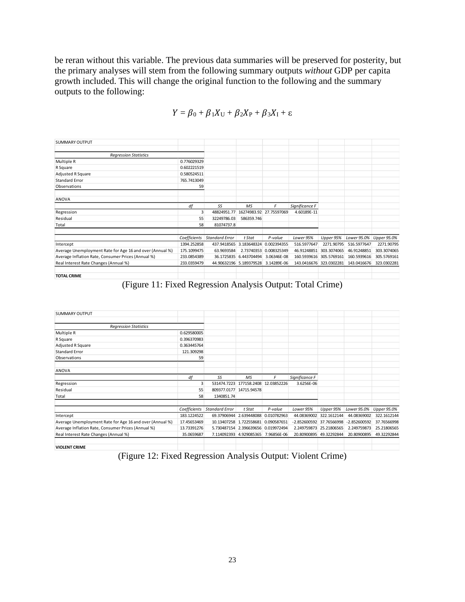be reran without this variable. The previous data summaries will be preserved for posterity, but the primary analyses will stem from the following summary outputs *without* GDP per capita growth included. This will change the original function to the following and the summary outputs to the following:

| <b>SUMMARY OUTPUT</b>                                    |              |                       |                                     |                         |                |                         |             |                    |
|----------------------------------------------------------|--------------|-----------------------|-------------------------------------|-------------------------|----------------|-------------------------|-------------|--------------------|
|                                                          |              |                       |                                     |                         |                |                         |             |                    |
| <b>Regression Statistics</b>                             |              |                       |                                     |                         |                |                         |             |                    |
| Multiple R                                               | 0.776029329  |                       |                                     |                         |                |                         |             |                    |
| R Square                                                 | 0.602221519  |                       |                                     |                         |                |                         |             |                    |
| Adjusted R Square                                        | 0.580524511  |                       |                                     |                         |                |                         |             |                    |
| <b>Standard Error</b>                                    | 765.7413049  |                       |                                     |                         |                |                         |             |                    |
| Observations                                             | 59           |                       |                                     |                         |                |                         |             |                    |
| ANOVA                                                    |              |                       |                                     |                         |                |                         |             |                    |
|                                                          | df           | .SS                   | M.S                                 | F                       | Significance F |                         |             |                    |
| Regression                                               | 3            | 48824951.77           |                                     | 16274983.92 27.75597069 | 4.60189E-11    |                         |             |                    |
| Residual                                                 | 55           | 32249786.03           | 586359.746                          |                         |                |                         |             |                    |
| Total                                                    | 58           | 81074737.8            |                                     |                         |                |                         |             |                    |
|                                                          | Coefficients | <b>Standard Error</b> | t Stat                              | P-value                 | Lower 95%      | Upper 95%               | Lower 95.0% | <b>Upper 95.0%</b> |
| Intercept                                                | 1394.252858  |                       | 437.9418565 3.183648324 0.002394355 |                         | 516.5977647    | 2271.90795              | 516.5977647 | 2271.90795         |
| Average Unemployment Rate for Age 16 and over (Annual %) | 175.1099475  | 63.9693584            |                                     | 2.73740353 0.008325349  | 46.91248851    | 303.3074065             | 46.91248851 | 303.3074065        |
| Average Inflation Rate, Consumer Prices (Annual %)       | 233.0854389  |                       | 36.1725835 6.443704494              | 3.06346E-08             | 160.5939616    | 305.5769161             | 160.5939616 | 305.5769161        |
| Real Interest Rate Changes (Annual %)                    | 233.0359479  |                       | 44.90632196 5.189379528 3.14289E-06 |                         |                | 143.0416676 323.0302281 | 143.0416676 | 323.0302281        |
| <b>TOTAL CRIME</b>                                       |              |                       |                                     |                         |                |                         |             |                    |

 $Y = \beta_0 + \beta_1 X_U + \beta_2 X_P + \beta_3 X_I + \varepsilon$ 

(Figure 11: Fixed Regression Analysis Output: Total Crime)

| <b>SUMMARY OUTPUT</b>                                    |              |                       |                                     |             |                |             |                |             |
|----------------------------------------------------------|--------------|-----------------------|-------------------------------------|-------------|----------------|-------------|----------------|-------------|
| <b>Regression Statistics</b>                             |              |                       |                                     |             |                |             |                |             |
| Multiple R                                               | 0.629580005  |                       |                                     |             |                |             |                |             |
| R Square                                                 | 0.396370983  |                       |                                     |             |                |             |                |             |
| Adjusted R Square                                        | 0.363445764  |                       |                                     |             |                |             |                |             |
| <b>Standard Error</b>                                    | 121.309298   |                       |                                     |             |                |             |                |             |
| Observations                                             | 59           |                       |                                     |             |                |             |                |             |
| <b>ANOVA</b>                                             |              |                       |                                     |             |                |             |                |             |
|                                                          | df           | SS                    | MS                                  | F           | Significance F |             |                |             |
| Regression                                               | 3            | 531474.7223           | 177158.2408                         | 12.03852226 | 3.6256E-06     |             |                |             |
| Residual                                                 | 55           |                       | 809377.0177 14715.94578             |             |                |             |                |             |
| Total                                                    | 58           | 1340851.74            |                                     |             |                |             |                |             |
|                                                          | Coefficients | <b>Standard Error</b> | t Stat                              | P-value     | Lower 95%      | Upper 95%   | Lower 95.0%    | Upper 95.0% |
| Intercept                                                | 183.1224522  | 69.37906944           | 2.639448088                         | 0.010782963 | 44.08369002    | 322.1612144 | 44.08369002    | 322.1612144 |
| Average Unemployment Rate for Age 16 and over (Annual %) | 17.45653469  | 10.13407258           | 1.722558681                         | 0.090587651 | $-2.852600592$ | 37.76566998 | $-2.852600592$ | 37.76566998 |
| Average Inflation Rate, Consumer Prices (Annual %)       | 13.73391276  |                       | 5.730487154 2.396639656 0.019972494 |             | 2.249759873    | 25.21806565 | 2.249759873    | 25.21806565 |
| Real Interest Rate Changes (Annual %)                    | 35.0659687   |                       | 7.114092393 4.929085365             | 7.96856E-06 | 20.80900895    | 49.32292844 | 20.80900895    | 49.32292844 |
| <b>VIOLENT CRIME</b>                                     |              |                       |                                     |             |                |             |                |             |

(Figure 12: Fixed Regression Analysis Output: Violent Crime)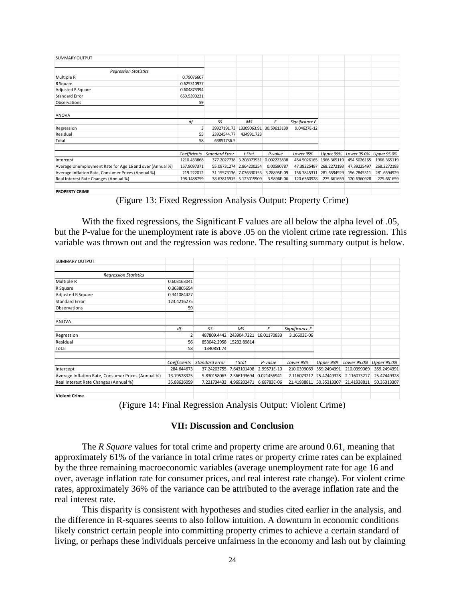| <b>SUMMARY OUTPUT</b>                                    |              |                       |                         |             |                |             |             |                    |
|----------------------------------------------------------|--------------|-----------------------|-------------------------|-------------|----------------|-------------|-------------|--------------------|
|                                                          |              |                       |                         |             |                |             |             |                    |
| <b>Regression Statistics</b>                             |              |                       |                         |             |                |             |             |                    |
| Multiple R                                               | 0.79076607   |                       |                         |             |                |             |             |                    |
| R Square                                                 | 0.625310977  |                       |                         |             |                |             |             |                    |
| Adjusted R Square                                        | 0.604873394  |                       |                         |             |                |             |             |                    |
| <b>Standard Error</b>                                    | 659.5390231  |                       |                         |             |                |             |             |                    |
| Observations                                             | 59           |                       |                         |             |                |             |             |                    |
| ANOVA                                                    |              |                       |                         |             |                |             |             |                    |
|                                                          | df           | SS                    | MS                      | F           | Significance F |             |             |                    |
| Regression                                               | 3            | 39927191.73           | 13309063.91             | 30.59613139 | 9.04627E-12    |             |             |                    |
| Residual                                                 | 55           | 23924544.77           | 434991.723              |             |                |             |             |                    |
| Total                                                    | 58           | 63851736.5            |                         |             |                |             |             |                    |
|                                                          | Coefficients | <b>Standard Error</b> | t Stat                  | P-value     | Lower 95%      | Upper 95%   | Lower 95.0% | <b>Upper 95.0%</b> |
| Intercept                                                | 1210.433868  |                       | 377.2027738 3.208973931 | 0.002223838 | 454.5026165    | 1966.365119 | 454.5026165 | 1966.365119        |
| Average Unemployment Rate for Age 16 and over (Annual %) | 157.8097371  |                       | 55.09731274 2.864200254 | 0.00590787  | 47.39225497    | 268.2272193 | 47.39225497 | 268.2272193        |
| Average Inflation Rate, Consumer Prices (Annual %)       | 219.222012   |                       | 31.15573136 7.036330153 | 3.28895E-09 | 156.7845311    | 281.6594929 | 156.7845311 | 281.6594929        |
| Real Interest Rate Changes (Annual %)                    | 198.1488759  |                       | 38.67816915 5.123015909 | 3.9896E-06  | 120.6360928    | 275.661659  | 120.6360928 | 275.661659         |
| <b>PROPERTY CRIME</b>                                    |              |                       |                         |             |                |             |             |                    |

(Figure 13: Fixed Regression Analysis Output: Property Crime)

With the fixed regressions, the Significant F values are all below the alpha level of .05, but the P-value for the unemployment rate is above .05 on the violent crime rate regression. This variable was thrown out and the regression was redone. The resulting summary output is below.

| <b>SUMMARY OUTPUT</b>                              |                |                       |                         |             |                |             |             |             |
|----------------------------------------------------|----------------|-----------------------|-------------------------|-------------|----------------|-------------|-------------|-------------|
| <b>Regression Statistics</b>                       |                |                       |                         |             |                |             |             |             |
| Multiple R                                         | 0.603163041    |                       |                         |             |                |             |             |             |
| R Square                                           | 0.363805654    |                       |                         |             |                |             |             |             |
| Adjusted R Square                                  | 0.341084427    |                       |                         |             |                |             |             |             |
| <b>Standard Error</b>                              | 123.4216275    |                       |                         |             |                |             |             |             |
| Observations                                       | 59             |                       |                         |             |                |             |             |             |
| ANOVA                                              |                |                       |                         |             |                |             |             |             |
|                                                    | df             | SS                    | MS                      | F           | Significance F |             |             |             |
| Regression                                         | $\overline{2}$ | 487809.4442           | 243904.7221             | 16.01170833 | 3.16603E-06    |             |             |             |
| Residual                                           | 56             |                       | 853042.2958 15232.89814 |             |                |             |             |             |
| Total                                              | 58             | 1340851.74            |                         |             |                |             |             |             |
|                                                    | Coefficients   | <b>Standard Error</b> | t Stat                  | P-value     | Lower 95%      | Upper 95%   | Lower 95.0% | Upper 95.0% |
| Intercept                                          | 284.644673     | 37.24203755           | 7.643101498             | 2.99571E-10 | 210.0399069    | 359.2494391 | 210.0399069 | 359.2494391 |
| Average Inflation Rate, Consumer Prices (Annual %) | 13.79528325    | 5.830158063           | 2.366193694             | 0.021456941 | 2.116073217    | 25.47449328 | 2.116073217 | 25.47449328 |
| Real Interest Rate Changes (Annual %)              | 35.88626059    |                       | 7.221734433 4.969202471 | 6.68783E-06 | 21.41938811    | 50.35313307 | 21.41938811 | 50.35313307 |
| <b>Violent Crime</b>                               |                |                       |                         |             |                |             |             |             |

(Figure 14: Final Regression Analysis Output: Violent Crime)

# **VII: Discussion and Conclusion**

The *R Square* values for total crime and property crime are around 0.61, meaning that approximately 61% of the variance in total crime rates or property crime rates can be explained by the three remaining macroeconomic variables (average unemployment rate for age 16 and over, average inflation rate for consumer prices, and real interest rate change). For violent crime rates, approximately 36% of the variance can be attributed to the average inflation rate and the real interest rate.

This disparity is consistent with hypotheses and studies cited earlier in the analysis, and the difference in R-squares seems to also follow intuition. A downturn in economic conditions likely constrict certain people into committing property crimes to achieve a certain standard of living, or perhaps these individuals perceive unfairness in the economy and lash out by claiming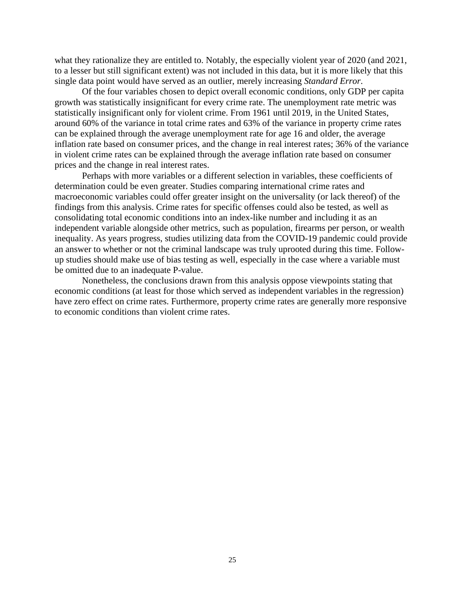what they rationalize they are entitled to. Notably, the especially violent year of 2020 (and 2021, to a lesser but still significant extent) was not included in this data, but it is more likely that this single data point would have served as an outlier, merely increasing *Standard Error*.

Of the four variables chosen to depict overall economic conditions, only GDP per capita growth was statistically insignificant for every crime rate. The unemployment rate metric was statistically insignificant only for violent crime. From 1961 until 2019, in the United States, around 60% of the variance in total crime rates and 63% of the variance in property crime rates can be explained through the average unemployment rate for age 16 and older, the average inflation rate based on consumer prices, and the change in real interest rates; 36% of the variance in violent crime rates can be explained through the average inflation rate based on consumer prices and the change in real interest rates.

Perhaps with more variables or a different selection in variables, these coefficients of determination could be even greater. Studies comparing international crime rates and macroeconomic variables could offer greater insight on the universality (or lack thereof) of the findings from this analysis. Crime rates for specific offenses could also be tested, as well as consolidating total economic conditions into an index-like number and including it as an independent variable alongside other metrics, such as population, firearms per person, or wealth inequality. As years progress, studies utilizing data from the COVID-19 pandemic could provide an answer to whether or not the criminal landscape was truly uprooted during this time. Followup studies should make use of bias testing as well, especially in the case where a variable must be omitted due to an inadequate P-value.

Nonetheless, the conclusions drawn from this analysis oppose viewpoints stating that economic conditions (at least for those which served as independent variables in the regression) have zero effect on crime rates. Furthermore, property crime rates are generally more responsive to economic conditions than violent crime rates.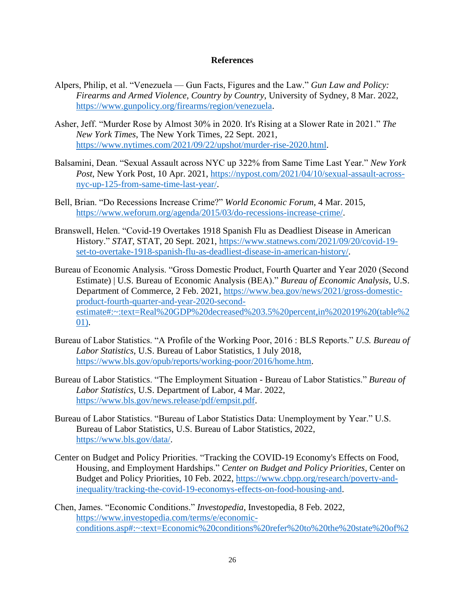# **References**

- Alpers, Philip, et al. "Venezuela Gun Facts, Figures and the Law." *Gun Law and Policy: Firearms and Armed Violence, Country by Country*, University of Sydney, 8 Mar. 2022, [https://www.gunpolicy.org/firearms/region/venezuela.](https://www.gunpolicy.org/firearms/region/venezuela)
- Asher, Jeff. "Murder Rose by Almost 30% in 2020. It's Rising at a Slower Rate in 2021." *The New York Times*, The New York Times, 22 Sept. 2021, [https://www.nytimes.com/2021/09/22/upshot/murder-rise-2020.html.](https://www.nytimes.com/2021/09/22/upshot/murder-rise-2020.html)
- Balsamini, Dean. "Sexual Assault across NYC up 322% from Same Time Last Year." *New York Post*, New York Post, 10 Apr. 2021, [https://nypost.com/2021/04/10/sexual-assault-across](https://nypost.com/2021/04/10/sexual-assault-across-nyc-up-125-from-same-time-last-year/)[nyc-up-125-from-same-time-last-year/.](https://nypost.com/2021/04/10/sexual-assault-across-nyc-up-125-from-same-time-last-year/)
- Bell, Brian. "Do Recessions Increase Crime?" *World Economic Forum*, 4 Mar. 2015, [https://www.weforum.org/agenda/2015/03/do-recessions-increase-crime/.](https://www.weforum.org/agenda/2015/03/do-recessions-increase-crime/)
- Branswell, Helen. "Covid-19 Overtakes 1918 Spanish Flu as Deadliest Disease in American History." *STAT*, STAT, 20 Sept. 2021, [https://www.statnews.com/2021/09/20/covid-19](https://www.statnews.com/2021/09/20/covid-19-set-to-overtake-1918-spanish-flu-as-deadliest-disease-in-american-history/) [set-to-overtake-1918-spanish-flu-as-deadliest-disease-in-american-history/.](https://www.statnews.com/2021/09/20/covid-19-set-to-overtake-1918-spanish-flu-as-deadliest-disease-in-american-history/)
- Bureau of Economic Analysis. "Gross Domestic Product, Fourth Quarter and Year 2020 (Second Estimate) | U.S. Bureau of Economic Analysis (BEA)." *Bureau of Economic Analysis*, U.S. Department of Commerce, 2 Feb. 2021, [https://www.bea.gov/news/2021/gross-domestic](https://www.bea.gov/news/2021/gross-domestic-product-fourth-quarter-and-year-2020-second-estimate#:~:text=Real%20GDP%20decreased%203.5%20percent,in%202019%20(table%201))[product-fourth-quarter-and-year-2020-second](https://www.bea.gov/news/2021/gross-domestic-product-fourth-quarter-and-year-2020-second-estimate#:~:text=Real%20GDP%20decreased%203.5%20percent,in%202019%20(table%201))[estimate#:~:text=Real%20GDP%20decreased%203.5%20percent,in%202019%20\(table%2](https://www.bea.gov/news/2021/gross-domestic-product-fourth-quarter-and-year-2020-second-estimate#:~:text=Real%20GDP%20decreased%203.5%20percent,in%202019%20(table%201)) [01\).](https://www.bea.gov/news/2021/gross-domestic-product-fourth-quarter-and-year-2020-second-estimate#:~:text=Real%20GDP%20decreased%203.5%20percent,in%202019%20(table%201))
- Bureau of Labor Statistics. "A Profile of the Working Poor, 2016 : BLS Reports." *U.S. Bureau of Labor Statistics*, U.S. Bureau of Labor Statistics, 1 July 2018, [https://www.bls.gov/opub/reports/working-poor/2016/home.htm.](https://www.bls.gov/opub/reports/working-poor/2016/home.htm)
- Bureau of Labor Statistics. "The Employment Situation Bureau of Labor Statistics." *Bureau of Labor Statistics*, U.S. Department of Labor, 4 Mar. 2022, [https://www.bls.gov/news.release/pdf/empsit.pdf.](https://www.bls.gov/news.release/pdf/empsit.pdf)
- Bureau of Labor Statistics. "Bureau of Labor Statistics Data: Unemployment by Year." U.S. Bureau of Labor Statistics, U.S. Bureau of Labor Statistics, 2022, [https://www.bls.gov/data/.](https://www.bls.gov/data/)
- Center on Budget and Policy Priorities. "Tracking the COVID-19 Economy's Effects on Food, Housing, and Employment Hardships." *Center on Budget and Policy Priorities*, Center on Budget and Policy Priorities, 10 Feb. 2022, [https://www.cbpp.org/research/poverty-and](https://www.cbpp.org/research/poverty-and-inequality/tracking-the-covid-19-economys-effects-on-food-housing-and)[inequality/tracking-the-covid-19-economys-effects-on-food-housing-and.](https://www.cbpp.org/research/poverty-and-inequality/tracking-the-covid-19-economys-effects-on-food-housing-and)

Chen, James. "Economic Conditions." *Investopedia*, Investopedia, 8 Feb. 2022, [https://www.investopedia.com/terms/e/economic](https://www.investopedia.com/terms/e/economic-conditions.asp#:~:text=Economic%20conditions%20refer%20to%20the%20state%20of%20macroeconomic%20variables%20and,fiscal%20and%20monetary%20policy%20orientations)[conditions.asp#:~:text=Economic%20conditions%20refer%20to%20the%20state%20of%2](https://www.investopedia.com/terms/e/economic-conditions.asp#:~:text=Economic%20conditions%20refer%20to%20the%20state%20of%20macroeconomic%20variables%20and,fiscal%20and%20monetary%20policy%20orientations)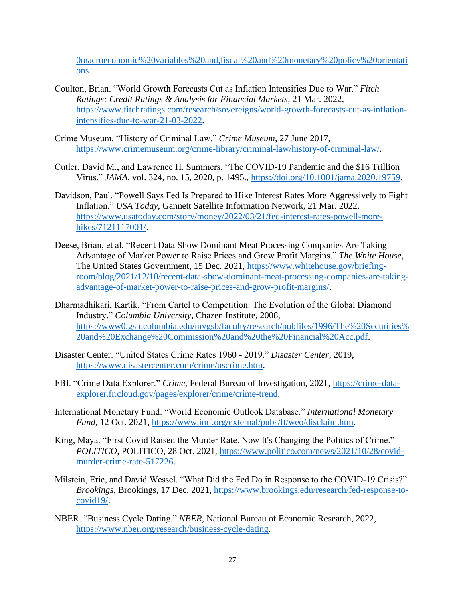[0macroeconomic%20variables%20and,fiscal%20and%20monetary%20policy%20orientati](https://www.investopedia.com/terms/e/economic-conditions.asp#:~:text=Economic%20conditions%20refer%20to%20the%20state%20of%20macroeconomic%20variables%20and,fiscal%20and%20monetary%20policy%20orientations) [ons.](https://www.investopedia.com/terms/e/economic-conditions.asp#:~:text=Economic%20conditions%20refer%20to%20the%20state%20of%20macroeconomic%20variables%20and,fiscal%20and%20monetary%20policy%20orientations)

- Coulton, Brian. "World Growth Forecasts Cut as Inflation Intensifies Due to War." *Fitch Ratings: Credit Ratings & Analysis for Financial Markets*, 21 Mar. 2022, [https://www.fitchratings.com/research/sovereigns/world-growth-forecasts-cut-as-inflation](https://www.fitchratings.com/research/sovereigns/world-growth-forecasts-cut-as-inflation-intensifies-due-to-war-21-03-2022)[intensifies-due-to-war-21-03-2022.](https://www.fitchratings.com/research/sovereigns/world-growth-forecasts-cut-as-inflation-intensifies-due-to-war-21-03-2022)
- Crime Museum. "History of Criminal Law." *Crime Museum*, 27 June 2017, [https://www.crimemuseum.org/crime-library/criminal-law/history-of-criminal-law/.](https://www.crimemuseum.org/crime-library/criminal-law/history-of-criminal-law/)
- Cutler, David M., and Lawrence H. Summers. "The COVID-19 Pandemic and the \$16 Trillion Virus." *JAMA*, vol. 324, no. 15, 2020, p. 1495., [https://doi.org/10.1001/jama.2020.19759.](https://doi.org/10.1001/jama.2020.19759)
- Davidson, Paul. "Powell Says Fed Is Prepared to Hike Interest Rates More Aggressively to Fight Inflation." *USA Today*, Gannett Satellite Information Network, 21 Mar. 2022, [https://www.usatoday.com/story/money/2022/03/21/fed-interest-rates-powell-more](https://www.usatoday.com/story/money/2022/03/21/fed-interest-rates-powell-more-hikes/7121117001/)[hikes/7121117001/.](https://www.usatoday.com/story/money/2022/03/21/fed-interest-rates-powell-more-hikes/7121117001/)
- Deese, Brian, et al. "Recent Data Show Dominant Meat Processing Companies Are Taking Advantage of Market Power to Raise Prices and Grow Profit Margins." *The White House*, The United States Government, 15 Dec. 2021, [https://www.whitehouse.gov/briefing](https://www.whitehouse.gov/briefing-room/blog/2021/12/10/recent-data-show-dominant-meat-processing-companies-are-taking-advantage-of-market-power-to-raise-prices-and-grow-profit-margins/)[room/blog/2021/12/10/recent-data-show-dominant-meat-processing-companies-are-taking](https://www.whitehouse.gov/briefing-room/blog/2021/12/10/recent-data-show-dominant-meat-processing-companies-are-taking-advantage-of-market-power-to-raise-prices-and-grow-profit-margins/)[advantage-of-market-power-to-raise-prices-and-grow-profit-margins/.](https://www.whitehouse.gov/briefing-room/blog/2021/12/10/recent-data-show-dominant-meat-processing-companies-are-taking-advantage-of-market-power-to-raise-prices-and-grow-profit-margins/)
- Dharmadhikari, Kartik. "From Cartel to Competition: The Evolution of the Global Diamond Industry." *Columbia University*, Chazen Institute, 2008, [https://www0.gsb.columbia.edu/mygsb/faculty/research/pubfiles/1996/The%20Securities%](https://www0.gsb.columbia.edu/mygsb/faculty/research/pubfiles/1996/The%20Securities%20and%20Exchange%20Commission%20and%20the%20Financial%20Acc.pdf) [20and%20Exchange%20Commission%20and%20the%20Financial%20Acc.pdf.](https://www0.gsb.columbia.edu/mygsb/faculty/research/pubfiles/1996/The%20Securities%20and%20Exchange%20Commission%20and%20the%20Financial%20Acc.pdf)
- Disaster Center. "United States Crime Rates 1960 2019." *Disaster Center*, 2019, [https://www.disastercenter.com/crime/uscrime.htm.](https://www.disastercenter.com/crime/uscrime.htm)
- FBI. "Crime Data Explorer." *Crime*, Federal Bureau of Investigation, 2021, [https://crime-data](https://crime-data-explorer.fr.cloud.gov/pages/explorer/crime/crime-trend)[explorer.fr.cloud.gov/pages/explorer/crime/crime-trend.](https://crime-data-explorer.fr.cloud.gov/pages/explorer/crime/crime-trend)
- International Monetary Fund. "World Economic Outlook Database." *International Monetary Fund*, 12 Oct. 2021, [https://www.imf.org/external/pubs/ft/weo/disclaim.htm.](https://www.imf.org/external/pubs/ft/weo/disclaim.htm)
- King, Maya. "First Covid Raised the Murder Rate. Now It's Changing the Politics of Crime." *POLITICO*, POLITICO, 28 Oct. 2021, [https://www.politico.com/news/2021/10/28/covid](https://www.politico.com/news/2021/10/28/covid-murder-crime-rate-517226)[murder-crime-rate-517226.](https://www.politico.com/news/2021/10/28/covid-murder-crime-rate-517226)
- Milstein, Eric, and David Wessel. "What Did the Fed Do in Response to the COVID-19 Crisis?" *Brookings*, Brookings, 17 Dec. 2021, [https://www.brookings.edu/research/fed-response-to](https://www.brookings.edu/research/fed-response-to-covid19/)[covid19/.](https://www.brookings.edu/research/fed-response-to-covid19/)
- NBER. "Business Cycle Dating." *NBER*, National Bureau of Economic Research, 2022, [https://www.nber.org/research/business-cycle-dating.](https://www.nber.org/research/business-cycle-dating)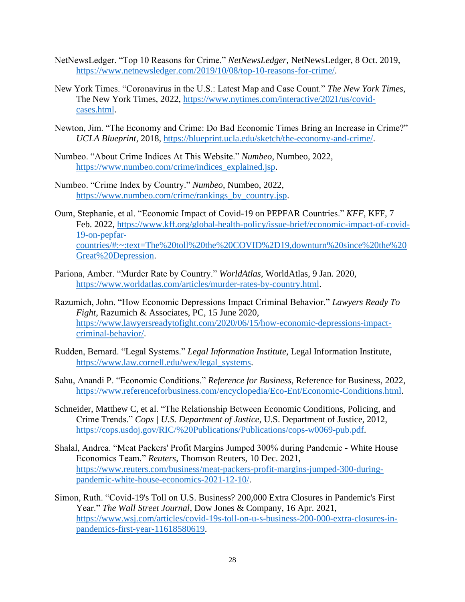- NetNewsLedger. "Top 10 Reasons for Crime." *NetNewsLedger*, NetNewsLedger, 8 Oct. 2019, [https://www.netnewsledger.com/2019/10/08/top-10-reasons-for-crime/.](https://www.netnewsledger.com/2019/10/08/top-10-reasons-for-crime/)
- New York Times. "Coronavirus in the U.S.: Latest Map and Case Count." *The New York Times*, The New York Times, 2022, [https://www.nytimes.com/interactive/2021/us/covid](https://www.nytimes.com/interactive/2021/us/covid-cases.html)[cases.html.](https://www.nytimes.com/interactive/2021/us/covid-cases.html)
- Newton, Jim. "The Economy and Crime: Do Bad Economic Times Bring an Increase in Crime?" *UCLA Blueprint*, 2018, [https://blueprint.ucla.edu/sketch/the-economy-and-crime/.](https://blueprint.ucla.edu/sketch/the-economy-and-crime/)
- Numbeo. "About Crime Indices At This Website." *Numbeo*, Numbeo, 2022, [https://www.numbeo.com/crime/indices\\_explained.jsp.](https://www.numbeo.com/crime/indices_explained.jsp)
- Numbeo. "Crime Index by Country." *Numbeo*, Numbeo, 2022, [https://www.numbeo.com/crime/rankings\\_by\\_country.jsp.](https://www.numbeo.com/crime/rankings_by_country.jsp)
- Oum, Stephanie, et al. "Economic Impact of Covid-19 on PEPFAR Countries." *KFF*, KFF, 7 Feb. 2022, [https://www.kff.org/global-health-policy/issue-brief/economic-impact-of-covid-](https://www.kff.org/global-health-policy/issue-brief/economic-impact-of-covid-19-on-pepfar-countries/#:~:text=The%20toll%20the%20COVID%2D19,downturn%20since%20the%20Great%20Depression)[19-on-pepfar](https://www.kff.org/global-health-policy/issue-brief/economic-impact-of-covid-19-on-pepfar-countries/#:~:text=The%20toll%20the%20COVID%2D19,downturn%20since%20the%20Great%20Depression)[countries/#:~:text=The%20toll%20the%20COVID%2D19,downturn%20since%20the%20](https://www.kff.org/global-health-policy/issue-brief/economic-impact-of-covid-19-on-pepfar-countries/#:~:text=The%20toll%20the%20COVID%2D19,downturn%20since%20the%20Great%20Depression) [Great%20Depression.](https://www.kff.org/global-health-policy/issue-brief/economic-impact-of-covid-19-on-pepfar-countries/#:~:text=The%20toll%20the%20COVID%2D19,downturn%20since%20the%20Great%20Depression)
- Pariona, Amber. "Murder Rate by Country." *WorldAtlas*, WorldAtlas, 9 Jan. 2020, [https://www.worldatlas.com/articles/murder-rates-by-country.html.](https://www.worldatlas.com/articles/murder-rates-by-country.html)
- Razumich, John. "How Economic Depressions Impact Criminal Behavior." *Lawyers Ready To Fight*, Razumich & Associates, PC, 15 June 2020, [https://www.lawyersreadytofight.com/2020/06/15/how-economic-depressions-impact](https://www.lawyersreadytofight.com/2020/06/15/how-economic-depressions-impact-criminal-behavior/)[criminal-behavior/.](https://www.lawyersreadytofight.com/2020/06/15/how-economic-depressions-impact-criminal-behavior/)
- Rudden, Bernard. "Legal Systems." *Legal Information Institute*, Legal Information Institute, [https://www.law.cornell.edu/wex/legal\\_systems.](https://www.law.cornell.edu/wex/legal_systems)
- Sahu, Anandi P. "Economic Conditions." *Reference for Business*, Reference for Business, 2022, [https://www.referenceforbusiness.com/encyclopedia/Eco-Ent/Economic-Conditions.html.](https://www.referenceforbusiness.com/encyclopedia/Eco-Ent/Economic-Conditions.html)
- Schneider, Matthew C, et al. "The Relationship Between Economic Conditions, Policing, and Crime Trends." *Cops | U.S. Department of Justice*, U.S. Department of Justice, 2012, [https://cops.usdoj.gov/RIC/%20Publications/Publications/cops-w0069-pub.pdf.](https://cops.usdoj.gov/RIC/%20Publications/Publications/cops-w0069-pub.pdf)
- Shalal, Andrea. "Meat Packers' Profit Margins Jumped 300% during Pandemic White House Economics Team." *Reuters*, Thomson Reuters, 10 Dec. 2021, [https://www.reuters.com/business/meat-packers-profit-margins-jumped-300-during](https://www.reuters.com/business/meat-packers-profit-margins-jumped-300-during-pandemic-white-house-economics-2021-12-10/)[pandemic-white-house-economics-2021-12-10/.](https://www.reuters.com/business/meat-packers-profit-margins-jumped-300-during-pandemic-white-house-economics-2021-12-10/)
- Simon, Ruth. "Covid-19's Toll on U.S. Business? 200,000 Extra Closures in Pandemic's First Year." *The Wall Street Journal*, Dow Jones & Company, 16 Apr. 2021, [https://www.wsj.com/articles/covid-19s-toll-on-u-s-business-200-000-extra-closures-in](https://www.wsj.com/articles/covid-19s-toll-on-u-s-business-200-000-extra-closures-in-pandemics-first-year-11618580619)[pandemics-first-year-11618580619.](https://www.wsj.com/articles/covid-19s-toll-on-u-s-business-200-000-extra-closures-in-pandemics-first-year-11618580619)